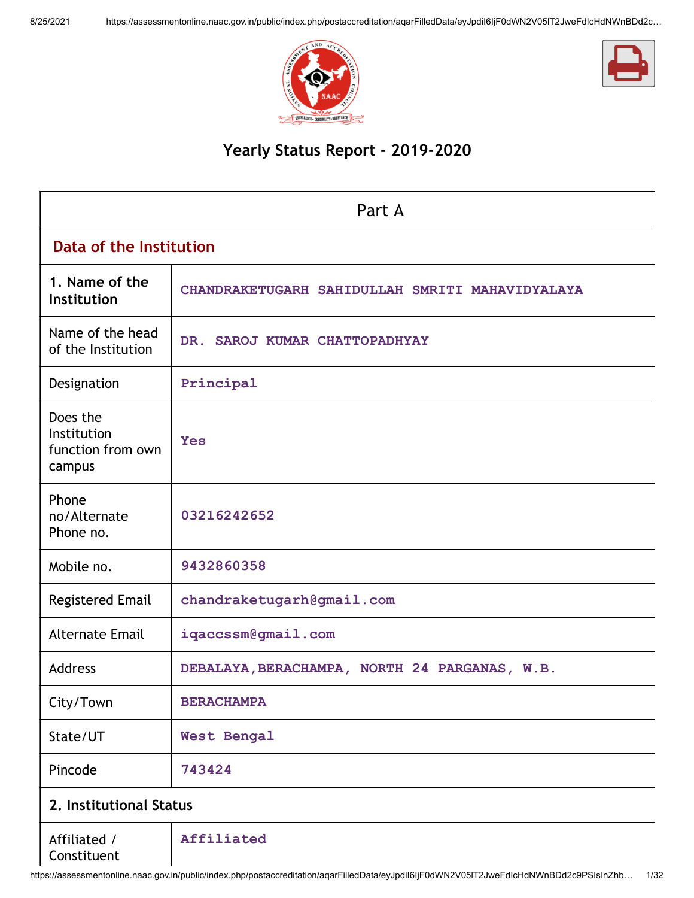



# Yearly Status Report - 2019-2020

| Part A                                                 |                                                 |  |  |  |  |
|--------------------------------------------------------|-------------------------------------------------|--|--|--|--|
|                                                        | Data of the Institution                         |  |  |  |  |
| 1. Name of the<br>Institution                          | CHANDRAKETUGARH SAHIDULLAH SMRITI MAHAVIDYALAYA |  |  |  |  |
| Name of the head<br>of the Institution                 | DR. SAROJ KUMAR CHATTOPADHYAY                   |  |  |  |  |
| Designation                                            | Principal                                       |  |  |  |  |
| Does the<br>Institution<br>function from own<br>campus | <b>Yes</b>                                      |  |  |  |  |
| Phone<br>no/Alternate<br>Phone no.                     | 03216242652                                     |  |  |  |  |
| Mobile no.                                             | 9432860358                                      |  |  |  |  |
| <b>Registered Email</b>                                | chandraketugarh@gmail.com                       |  |  |  |  |
| <b>Alternate Email</b>                                 | iqaccssm@gmail.com                              |  |  |  |  |
| <b>Address</b>                                         | DEBALAYA, BERACHAMPA, NORTH 24 PARGANAS, W.B.   |  |  |  |  |
| City/Town                                              | <b>BERACHAMPA</b>                               |  |  |  |  |
| State/UT                                               | <b>West Bengal</b>                              |  |  |  |  |
| Pincode                                                | 743424                                          |  |  |  |  |
| 2. Institutional Status                                |                                                 |  |  |  |  |
| Affiliated /<br>Constituent                            | Affiliated                                      |  |  |  |  |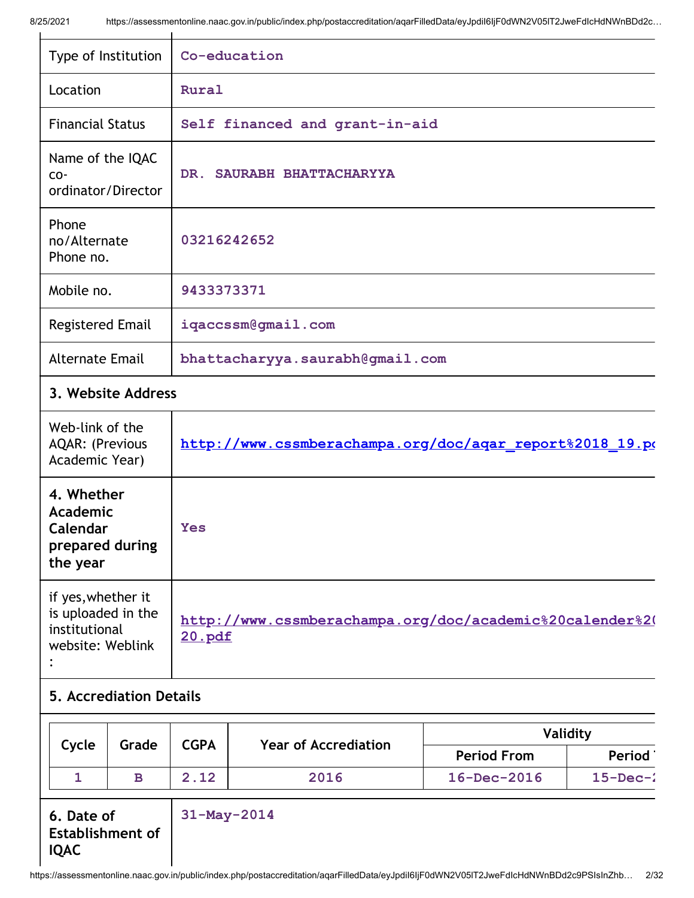| Type of Institution                                                           | Co-education                                                       |  |
|-------------------------------------------------------------------------------|--------------------------------------------------------------------|--|
| Location                                                                      | Rural                                                              |  |
| <b>Financial Status</b>                                                       | Self financed and grant-in-aid                                     |  |
| Name of the IQAC<br>CO-<br>ordinator/Director                                 | DR. SAURABH BHATTACHARYYA                                          |  |
| Phone<br>no/Alternate<br>Phone no.                                            | 03216242652                                                        |  |
| Mobile no.                                                                    | 9433373371                                                         |  |
| <b>Registered Email</b>                                                       | iqaccssm@gmail.com                                                 |  |
| <b>Alternate Email</b>                                                        | bhattacharyya.saurabh@gmail.com                                    |  |
| 3. Website Address                                                            |                                                                    |  |
| Web-link of the<br><b>AQAR: (Previous</b><br>Academic Year)                   | http://www.cssmberachampa.org/doc/aqar_report%2018_19.po           |  |
| 4. Whether<br><b>Academic</b><br>Calendar<br>prepared during<br>the year      | <b>Yes</b>                                                         |  |
| if yes, whether it<br>is uploaded in the<br>institutional<br>website: Weblink | http://www.cssmberachampa.org/doc/academic%20calender%20<br>20.pdf |  |

# 5. Accrediation Details

|  | Cycle<br><b>CGPA</b><br><b>Year of Accrediation</b><br>Grade |      |                    |                   | Validity       |
|--|--------------------------------------------------------------|------|--------------------|-------------------|----------------|
|  |                                                              |      | <b>Period From</b> | <b>Period</b>     |                |
|  |                                                              | 2.12 | 2016               | $16 - Dec - 2016$ | $15$ -Dec- $2$ |

6. Date of Establishment of IQAC 31-May-2014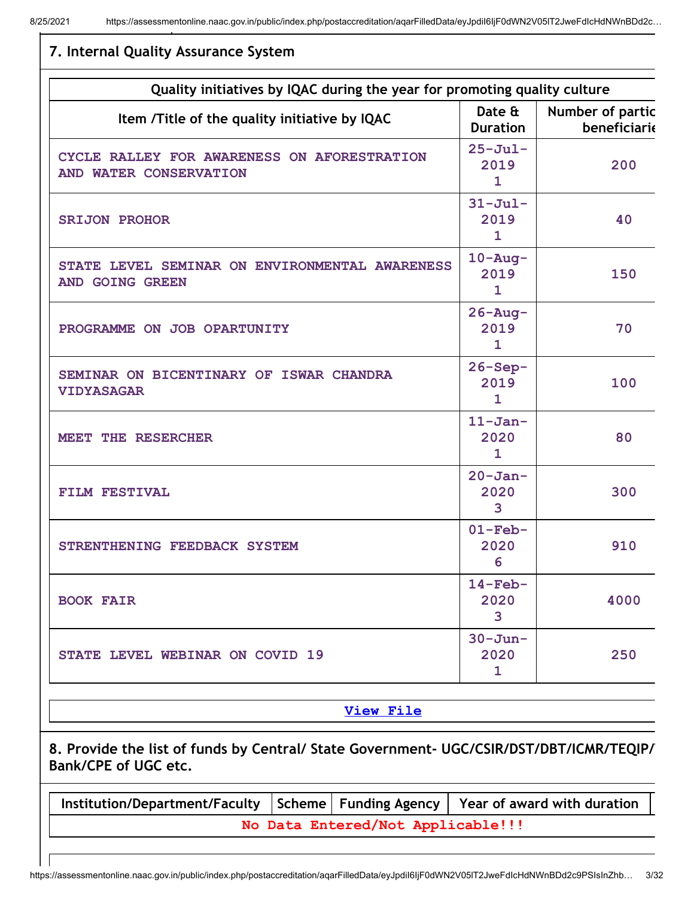| Quality initiatives by IQAC during the year for promoting quality culture                                       |                                             |                                  |  |  |  |
|-----------------------------------------------------------------------------------------------------------------|---------------------------------------------|----------------------------------|--|--|--|
| Item /Title of the quality initiative by IQAC                                                                   | Date &<br><b>Duration</b>                   | Number of partic<br>beneficiarie |  |  |  |
| CYCLE RALLEY FOR AWARENESS ON AFORESTRATION<br>AND WATER CONSERVATION                                           | $25 - Ju1 -$<br>2019<br>$\mathbf{1}$        | 200                              |  |  |  |
| <b>SRIJON PROHOR</b>                                                                                            | $31 - \text{Jul}$ -<br>2019<br>$\mathbf{1}$ | 40                               |  |  |  |
| STATE LEVEL SEMINAR ON ENVIRONMENTAL AWARENESS<br>AND GOING GREEN                                               | $10 - Aug -$<br>2019<br>$\mathbf{1}$        | 150                              |  |  |  |
| PROGRAMME ON JOB OPARTUNITY                                                                                     | $26 - Aug -$<br>2019<br>$\mathbf{1}$        | 70                               |  |  |  |
| SEMINAR ON BICENTINARY OF ISWAR CHANDRA<br><b>VIDYASAGAR</b>                                                    | $26 - Sep -$<br>2019<br>$\mathbf{1}$        | 100                              |  |  |  |
| MEET THE RESERCHER                                                                                              | $11 - Jan-$<br>2020<br>$\mathbf{1}$         | 80                               |  |  |  |
| FILM FESTIVAL                                                                                                   | $20 - Jan -$<br>2020<br>3                   | 300                              |  |  |  |
| STRENTHENING FEEDBACK SYSTEM                                                                                    | $01-Feb-$<br>2020<br>6                      | 910                              |  |  |  |
| <b>BOOK FAIR</b>                                                                                                | $14$ -Feb-<br>2020<br>3                     | 4000                             |  |  |  |
| STATE LEVEL WEBINAR ON COVID 19                                                                                 | $30 - Jun -$<br>2020<br>1                   | 250                              |  |  |  |
| <b>View File</b>                                                                                                |                                             |                                  |  |  |  |
| 8. Provide the list of funds by Central/ State Government- UGC/CSIR/DST/DBT/ICMR/TEQIP/<br>Bank/CPE of UGC etc. |                                             |                                  |  |  |  |
| Institution/Department/Faculty<br>Scheme<br><b>Funding Agency</b>                                               |                                             | Year of award with duration      |  |  |  |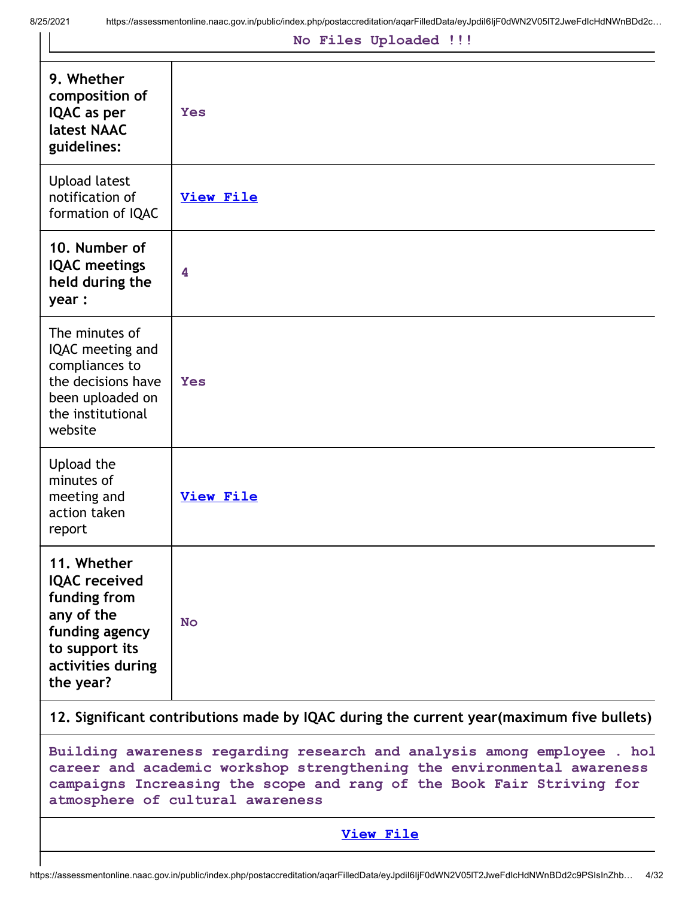|  |  | No Files Uploaded !!! |  |
|--|--|-----------------------|--|
|--|--|-----------------------|--|

| 9. Whether<br>composition of<br>IQAC as per<br>latest NAAC<br>guidelines:                                                                                                                                                  | <b>Yes</b>       |  |  |
|----------------------------------------------------------------------------------------------------------------------------------------------------------------------------------------------------------------------------|------------------|--|--|
| <b>Upload latest</b><br>notification of<br>formation of IQAC                                                                                                                                                               | <b>View File</b> |  |  |
| 10. Number of<br><b>IQAC</b> meetings<br>held during the<br>year:                                                                                                                                                          | 4                |  |  |
| The minutes of<br>IQAC meeting and<br>compliances to<br>the decisions have<br>been uploaded on<br>the institutional<br>website                                                                                             | <b>Yes</b>       |  |  |
| Upload the<br>minutes of<br>meeting and<br>action taken<br>report                                                                                                                                                          | <b>View File</b> |  |  |
| 11. Whether<br><b>IQAC</b> received<br>funding from<br>any of the<br>funding agency<br>to support its<br>activities during<br>the year?                                                                                    | <b>No</b>        |  |  |
| 12. Significant contributions made by IQAC during the current year (maximum five bullets)                                                                                                                                  |                  |  |  |
| Building awareness regarding research and analysis among employee . hol<br>career and academic workshop strengthening the environmental awareness<br>campaigns Increasing the scope and rang of the Book Fair Striving for |                  |  |  |

```
View File
```
atmosphere of cultural awareness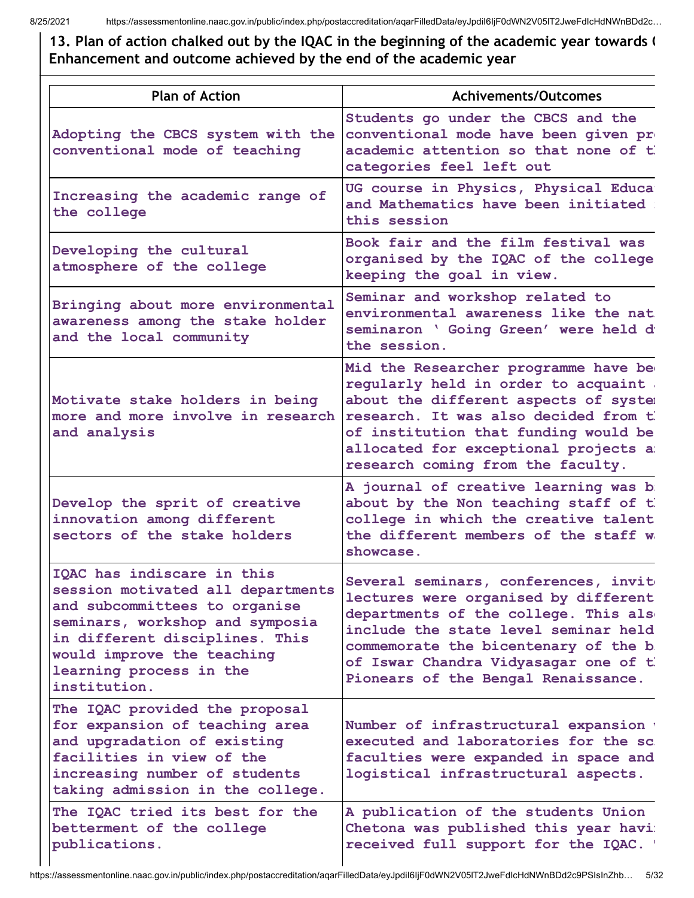13. Plan of action chalked out by the IQAC in the beginning of the academic year towards ( Enhancement and outcome achieved by the end of the academic year

| <b>Plan of Action</b>                                                                                                                                                                                                                          | <b>Achivements/Outcomes</b>                                                                                                                                                                                                                                                           |
|------------------------------------------------------------------------------------------------------------------------------------------------------------------------------------------------------------------------------------------------|---------------------------------------------------------------------------------------------------------------------------------------------------------------------------------------------------------------------------------------------------------------------------------------|
| Adopting the CBCS system with the<br>conventional mode of teaching                                                                                                                                                                             | Students go under the CBCS and the<br>conventional mode have been given pre<br>academic attention so that none of th<br>categories feel left out                                                                                                                                      |
| Increasing the academic range of<br>the college                                                                                                                                                                                                | UG course in Physics, Physical Educa<br>and Mathematics have been initiated<br>this session                                                                                                                                                                                           |
| Developing the cultural<br>atmosphere of the college                                                                                                                                                                                           | Book fair and the film festival was<br>organised by the IQAC of the college<br>keeping the goal in view.                                                                                                                                                                              |
| Bringing about more environmental<br>awareness among the stake holder<br>and the local community                                                                                                                                               | Seminar and workshop related to<br>environmental awareness like the nat<br>seminaron ' Going Green' were held di<br>the session.                                                                                                                                                      |
| Motivate stake holders in being<br>more and more involve in research<br>and analysis                                                                                                                                                           | Mid the Researcher programme have be<br>regularly held in order to acquaint<br>about the different aspects of system<br>research. It was also decided from th<br>of institution that funding would be<br>allocated for exceptional projects a<br>research coming from the faculty.    |
| Develop the sprit of creative<br>innovation among different<br>sectors of the stake holders                                                                                                                                                    | A journal of creative learning was b<br>about by the Non teaching staff of th<br>college in which the creative talent<br>the different members of the staff was<br>showcase.                                                                                                          |
| IQAC has indiscare in this<br>session motivated all departments<br>and subcommittees to organise<br>seminars, workshop and symposia<br>in different disciplines. This<br>would improve the teaching<br>learning process in the<br>institution. | Several seminars, conferences, invit<br>lectures were organised by different<br>departments of the college. This alse<br>include the state level seminar held<br>commemorate the bicentenary of the b<br>of Iswar Chandra Vidyasagar one of ti<br>Pionears of the Bengal Renaissance. |
| The IQAC provided the proposal<br>for expansion of teaching area<br>and upgradation of existing<br>facilities in view of the<br>increasing number of students<br>taking admission in the college.                                              | Number of infrastructural expansion v<br>executed and laboratories for the sc.<br>faculties were expanded in space and<br>logistical infrastructural aspects.                                                                                                                         |
| The IQAC tried its best for the<br>betterment of the college<br>publications.                                                                                                                                                                  | A publication of the students Union<br>Chetona was published this year havi:<br>received full support for the IQAC. '                                                                                                                                                                 |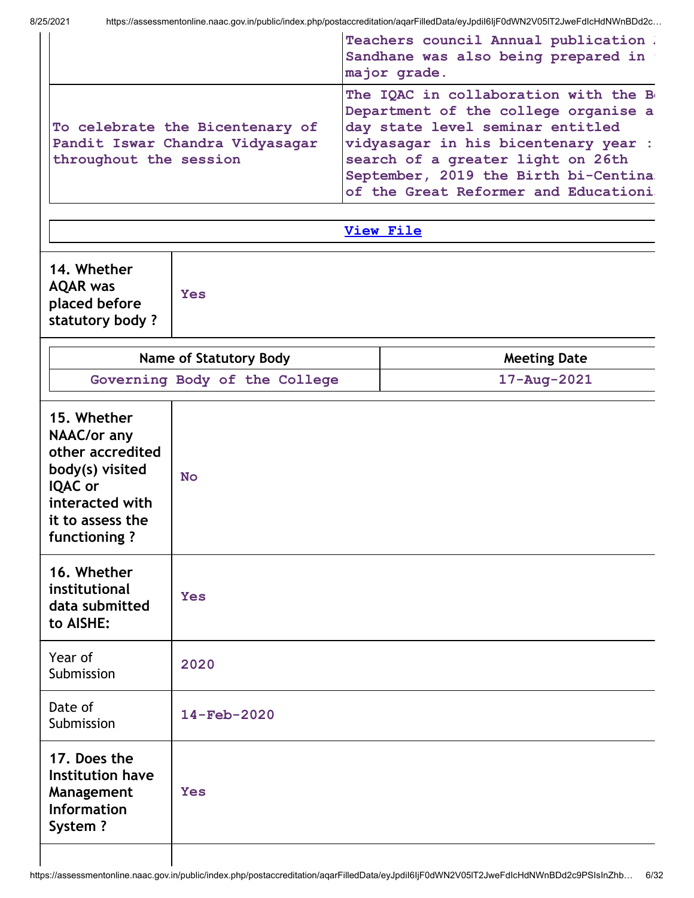|                                                                                                                                            |                               |                                                                                                                                                                                                                                                                                | Teachers council Annual publication .<br>Sandhane was also being prepared in<br>major grade. |  |  |
|--------------------------------------------------------------------------------------------------------------------------------------------|-------------------------------|--------------------------------------------------------------------------------------------------------------------------------------------------------------------------------------------------------------------------------------------------------------------------------|----------------------------------------------------------------------------------------------|--|--|
| To celebrate the Bicentenary of<br>Pandit Iswar Chandra Vidyasagar<br>throughout the session                                               |                               | The IQAC in collaboration with the B<br>Department of the college organise a<br>day state level seminar entitled<br>vidyasagar in his bicentenary year :<br>search of a greater light on 26th<br>September, 2019 the Birth bi-Centina:<br>of the Great Reformer and Educationi |                                                                                              |  |  |
|                                                                                                                                            |                               |                                                                                                                                                                                                                                                                                | <b>View File</b>                                                                             |  |  |
| 14. Whether<br><b>AQAR</b> was<br>placed before<br>statutory body?                                                                         | <b>Yes</b>                    |                                                                                                                                                                                                                                                                                |                                                                                              |  |  |
|                                                                                                                                            | <b>Name of Statutory Body</b> |                                                                                                                                                                                                                                                                                | <b>Meeting Date</b>                                                                          |  |  |
|                                                                                                                                            | Governing Body of the College |                                                                                                                                                                                                                                                                                | $17 - Aug - 2021$                                                                            |  |  |
| 15. Whether<br>NAAC/or any<br>other accredited<br>body(s) visited<br><b>IQAC</b> or<br>interacted with<br>it to assess the<br>functioning? | <b>No</b>                     |                                                                                                                                                                                                                                                                                |                                                                                              |  |  |
| 16. Whether<br>institutional<br>data submitted<br>to AISHE:                                                                                | <b>Yes</b>                    |                                                                                                                                                                                                                                                                                |                                                                                              |  |  |
| Year of<br>Submission                                                                                                                      | 2020                          |                                                                                                                                                                                                                                                                                |                                                                                              |  |  |
| Date of<br>Submission                                                                                                                      | 14-Feb-2020                   |                                                                                                                                                                                                                                                                                |                                                                                              |  |  |
| 17. Does the<br><b>Institution have</b><br>Management<br><b>Information</b><br>System?                                                     | <b>Yes</b>                    |                                                                                                                                                                                                                                                                                |                                                                                              |  |  |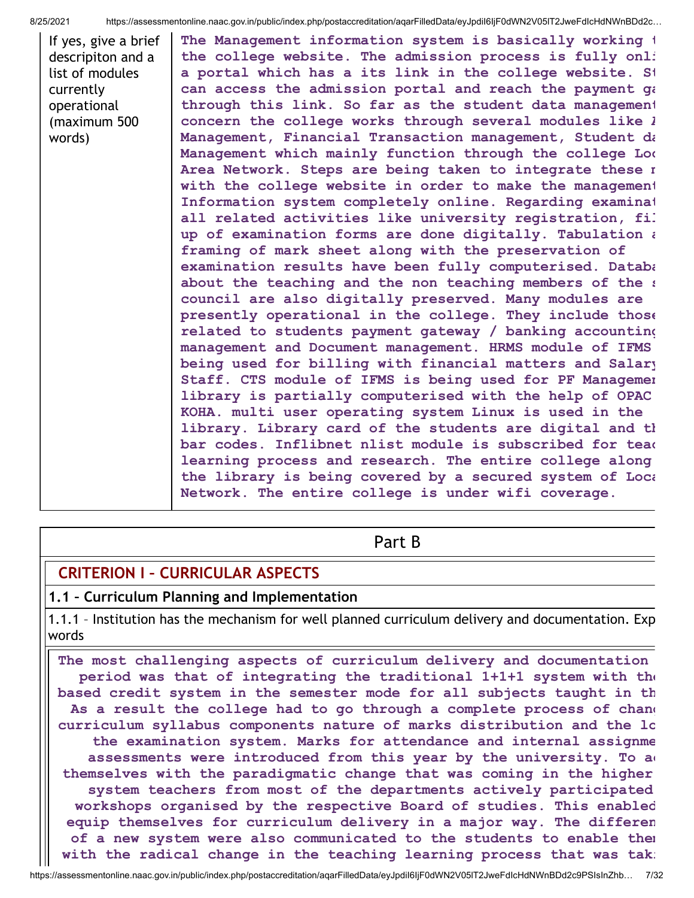If yes, give a brief descripiton and a list of modules currently operational (maximum 500 words) The Management information system is basically working t the college website. The admission process is fully onli a portal which has a its link in the college website. St can access the admission portal and reach the payment qa through this link. So far as the student data management concern the college works through several modules like  $l$ Management, Financial Transaction management, Student da Management which mainly function through the college Loc Area Network. Steps are being taken to integrate these m with the college website in order to make the management Information system completely online. Regarding examinat all related activities like university registration, fil up of examination forms are done digitally. Tabulation  $i$ framing of mark sheet along with the preservation of examination results have been fully computerised. Databa about the teaching and the non teaching members of the s council are also digitally preserved. Many modules are presently operational in the college. They include those related to students payment gateway / banking accounting management and Document management. HRMS module of IFMS being used for billing with financial matters and Salary Staff. CTS module of IFMS is being used for PF Managemen library is partially computerised with the help of OPAC KOHA. multi user operating system Linux is used in the library. Library card of the students are digital and th bar codes. Inflibnet nlist module is subscribed for teac learning process and research. The entire college along the library is being covered by a secured system of Loca Network. The entire college is under wifi coverage.

## Part B

## CRITERION I – CURRICULAR ASPECTS

### 1.1 – Curriculum Planning and Implementation

1.1.1 – Institution has the mechanism for well planned curriculum delivery and documentation. Exp words

The most challenging aspects of curriculum delivery and documentation period was that of integrating the traditional 1+1+1 system with the based credit system in the semester mode for all subjects taught in th As a result the college had to go through a complete process of changed curriculum syllabus components nature of marks distribution and the lo the examination system. Marks for attendance and internal assignme assessments were introduced from this year by the university. To a themselves with the paradigmatic change that was coming in the higher system teachers from most of the departments actively participated workshops organised by the respective Board of studies. This enabled equip themselves for curriculum delivery in a major way. The differen of a new system were also communicated to the students to enable them with the radical change in the teaching learning process that was tak: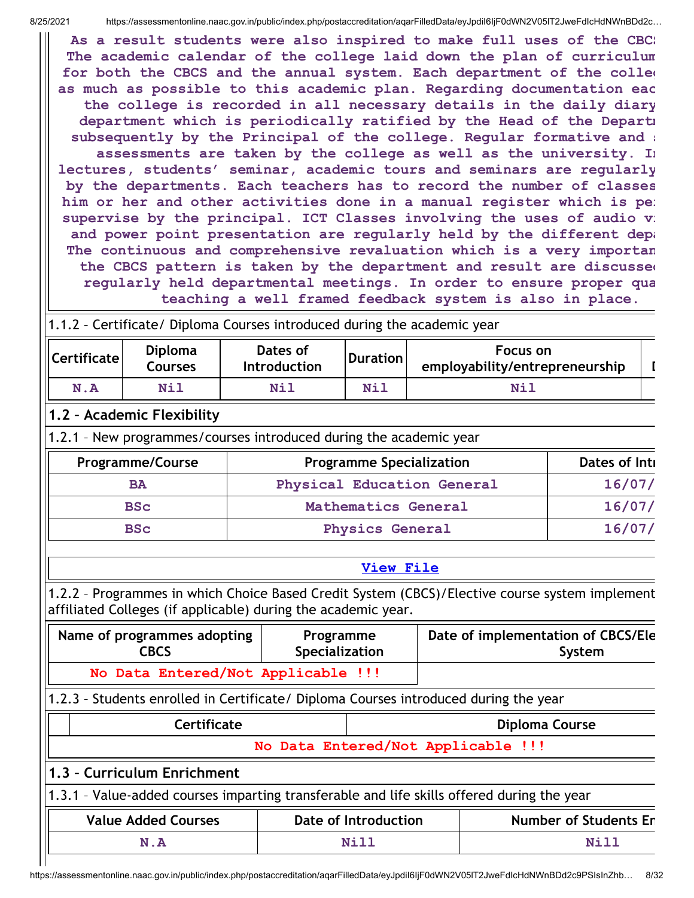As a result students were also inspired to make full uses of the CBC: The academic calendar of the college laid down the plan of curriculum for both the CBCS and the annual system. Each department of the colleg as much as possible to this academic plan. Regarding documentation eac the college is recorded in all necessary details in the daily diary department which is periodically ratified by the Head of the Departm subsequently by the Principal of the college. Regular formative and : assessments are taken by the college as well as the university. In lectures, students' seminar, academic tours and seminars are regularly by the departments. Each teachers has to record the number of classes him or her and other activities done in a manual register which is pe: supervise by the principal. ICT Classes involving the uses of audio vi and power point presentation are regularly held by the different depa The continuous and comprehensive revaluation which is a very importan the CBCS pattern is taken by the department and result are discussed regularly held departmental meetings. In order to ensure proper qua teaching a well framed feedback system is also in place.

### 1.1.2 – Certificate/ Diploma Courses introduced during the academic year

| Certificate | <b>Diploma</b><br>Courses | Dates of<br><b>Introduction</b> | <b>Duration</b> | Focus on<br>employability/entrepreneurship |  |
|-------------|---------------------------|---------------------------------|-----------------|--------------------------------------------|--|
| N.A         | Nil                       | Nil                             | Nil             | Nil                                        |  |

### 1.2 – Academic Flexibility

1.2.1 – New programmes/courses introduced during the academic year

| <b>Programme/Course</b> | <b>Programme Specialization</b> | Dates of Inti |
|-------------------------|---------------------------------|---------------|
| <b>BA</b>               | Physical Education General      | 16/07/        |
| <b>BSC</b>              | Mathematics General             | 16/07/        |
| <b>BSC</b>              | <b>Physics General</b>          | 16/07/        |

#### View [File](https://assessmentonline.naac.gov.in/public/Postacc/Program_introduced/12144_Program_introduced_1629904884.xls)

1.2.2 – Programmes in which Choice Based Credit System (CBCS)/Elective course system implement affiliated Colleges (if applicable) during the academic year.

| Name of programmes adopting        | Programme      | Date of implementation of CBCS/Ele |
|------------------------------------|----------------|------------------------------------|
| <b>CBCS</b>                        | Specialization | System                             |
| No Data Entered/Not Applicable !!! |                |                                    |

### 1.2.3 – Students enrolled in Certificate/ Diploma Courses introduced during the year

| <b>Certificate</b>                                                                         |  | Diploma Course       |                              |  |  |  |
|--------------------------------------------------------------------------------------------|--|----------------------|------------------------------|--|--|--|
| No Data Entered/Not Applicable !!!                                                         |  |                      |                              |  |  |  |
| 1.3 - Curriculum Enrichment                                                                |  |                      |                              |  |  |  |
| 1.3.1 - Value-added courses imparting transferable and life skills offered during the year |  |                      |                              |  |  |  |
| <b>Value Added Courses</b>                                                                 |  | Date of Introduction | <b>Number of Students En</b> |  |  |  |

N.A Nill Nill Nill Nill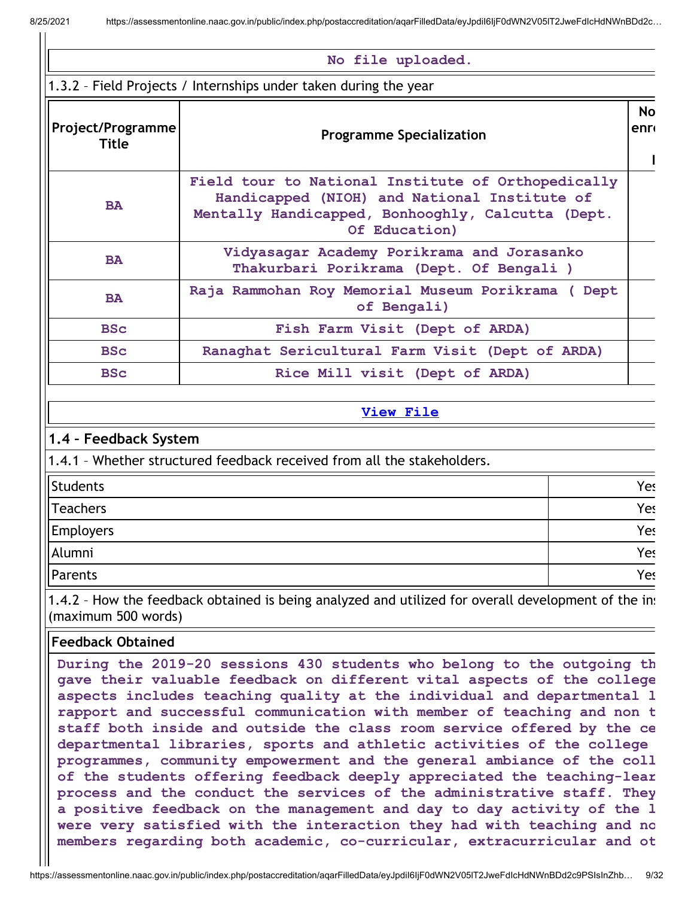#### No file uploaded.

1.3.2 – Field Projects / Internships under taken during the year

| Project/Programme<br>Title | <b>Programme Specialization</b>                                                                                                                                          | <b>No</b><br><b>enr</b> |
|----------------------------|--------------------------------------------------------------------------------------------------------------------------------------------------------------------------|-------------------------|
| <b>BA</b>                  | Field tour to National Institute of Orthopedically<br>Handicapped (NIOH) and National Institute of<br>Mentally Handicapped, Bonhooghly, Calcutta (Dept.<br>Of Education) |                         |
| <b>BA</b>                  | Vidyasagar Academy Porikrama and Jorasanko<br>Thakurbari Porikrama (Dept. Of Bengali)                                                                                    |                         |
| <b>BA</b>                  | Raja Rammohan Roy Memorial Museum Porikrama ( Dept<br>of Bengali)                                                                                                        |                         |
| <b>BSc</b>                 | Fish Farm Visit (Dept of ARDA)                                                                                                                                           |                         |
| <b>BSC</b>                 | Ranaghat Sericultural Farm Visit (Dept of ARDA)                                                                                                                          |                         |
| <b>BSc</b>                 | Rice Mill visit (Dept of ARDA)                                                                                                                                           |                         |

#### View [File](https://assessmentonline.naac.gov.in/public/Postacc/Projects_undertaken/12144_Projects_undertaken_1629539500.xlsx)

### 1.4 – Feedback System

1.4.1 – Whether structured feedback received from all the stakeholders.

| Students  | Yes |
|-----------|-----|
| Teachers  | Yes |
| Employers | Yes |
| Alumni    | Yes |
| Parents   | Yes |

1.4.2 - How the feedback obtained is being analyzed and utilized for overall development of the inse (maximum 500 words)

### Feedback Obtained

During the 2019-20 sessions 430 students who belong to the outgoing th gave their valuable feedback on different vital aspects of the college aspects includes teaching quality at the individual and departmental l rapport and successful communication with member of teaching and non t staff both inside and outside the class room service offered by the ce departmental libraries, sports and athletic activities of the college programmes, community empowerment and the general ambiance of the coll of the students offering feedback deeply appreciated the teaching-lear process and the conduct the services of the administrative staff. They a positive feedback on the management and day to day activity of the l were very satisfied with the interaction they had with teaching and no members regarding both academic, co-curricular, extracurricular and ot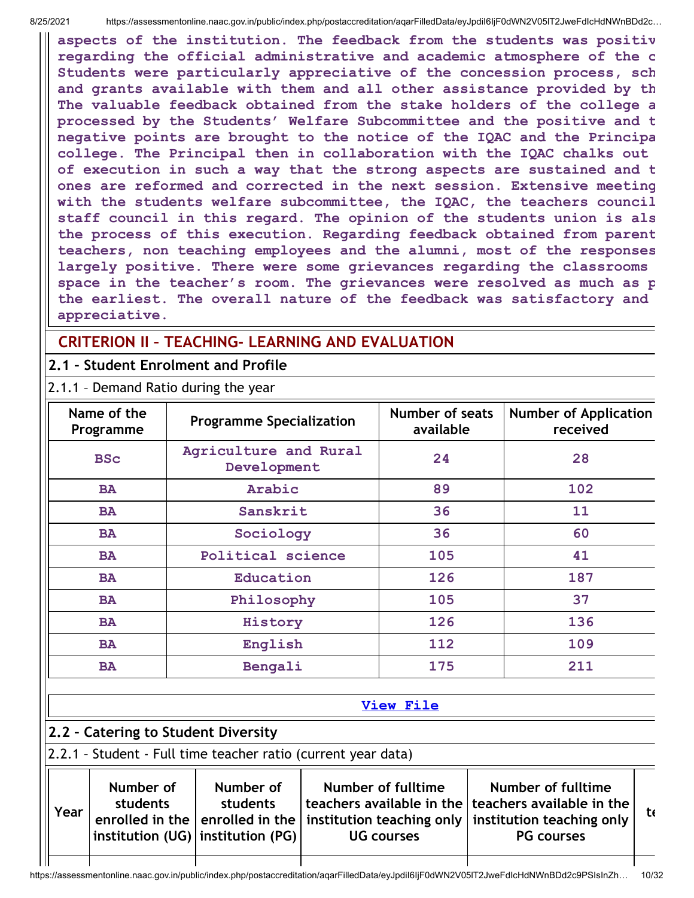aspects of the institution. The feedback from the students was positiv regarding the official administrative and academic atmosphere of the c Students were particularly appreciative of the concession process, sch and grants available with them and all other assistance provided by th The valuable feedback obtained from the stake holders of the college a processed by the Students' Welfare Subcommittee and the positive and t negative points are brought to the notice of the IQAC and the Principa college. The Principal then in collaboration with the IQAC chalks out of execution in such a way that the strong aspects are sustained and t ones are reformed and corrected in the next session. Extensive meeting with the students welfare subcommittee, the IQAC, the teachers council staff council in this regard. The opinion of the students union is als the process of this execution. Regarding feedback obtained from parent teachers, non teaching employees and the alumni, most of the responses largely positive. There were some grievances regarding the classrooms space in the teacher's room. The grievances were resolved as much as p the earliest. The overall nature of the feedback was satisfactory and appreciative.

## CRITERION II – TEACHING- LEARNING AND EVALUATION

## 2.1 – Student Enrolment and Profile

2.1.1 – Demand Ratio during the year

| Name of the<br>Programme | <b>Programme Specialization</b>      | Number of seats<br>available | <b>Number of Application</b><br>received |
|--------------------------|--------------------------------------|------------------------------|------------------------------------------|
| <b>BSc</b>               | Agriculture and Rural<br>Development | 24                           | 28                                       |
| <b>BA</b>                | Arabic                               | 89                           | 102                                      |
| Sanskrit<br><b>BA</b>    |                                      | 36                           | 11                                       |
| Sociology<br><b>BA</b>   |                                      | 36                           | 60                                       |
| <b>BA</b>                | Political science                    | 105                          | 41                                       |
| Education<br><b>BA</b>   |                                      | 126                          | 187                                      |
| <b>BA</b><br>Philosophy  |                                      | 105                          | 37                                       |
| History<br><b>BA</b>     |                                      | 126                          | 136                                      |
| English<br><b>BA</b>     |                                      | 112                          | 109                                      |
| <b>BA</b>                | Bengali                              | 175                          | 211                                      |

### View [File](https://assessmentonline.naac.gov.in/public/Postacc/Demand_ratio/12144_Demand_ratio_1629534476.xlsx)

# 2.2 – Catering to Student Diversity

l II

## 2.2.1 – Student - Full time teacher ratio (current year data)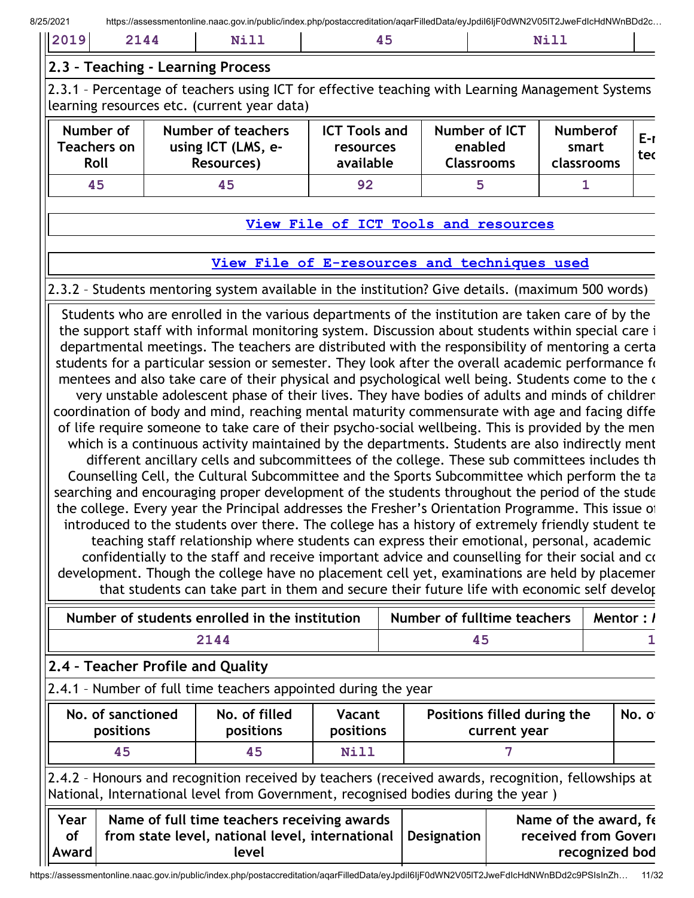| . .<br>$-$<br>______<br>____<br>_____ |
|---------------------------------------|
|---------------------------------------|

### 2.3 – Teaching - Learning Process

2.3.1 - Percentage of teachers using ICT for effective teaching with Learning Management Systems learning resources etc. (current year data)

| Number of<br><b>Feachers on</b><br>Roll | Number of teachers<br>using ICT (LMS, e-<br>Resources) | <b>ICT Tools and</b><br><b>resources</b><br>available | Number of ICT<br>enabled<br><b>Classrooms</b> | <b>Numberof</b><br>smart<br>classrooms | $E-r$<br>tec |
|-----------------------------------------|--------------------------------------------------------|-------------------------------------------------------|-----------------------------------------------|----------------------------------------|--------------|
| 45                                      | 45                                                     | 92                                                    |                                               |                                        |              |

### View File of ICT Tools and [resources](https://assessmentonline.naac.gov.in/public/Postacc/ict_tools/12144_ict_tools_1629534720.xlsx)

### View File of [E-resources](https://assessmentonline.naac.gov.in/public/Postacc/e_resource/12144_e_resource_1629534729.xlsx) and techniques used

## 2.3.2 – Students mentoring system available in the institution? Give details. (maximum 500 words)

Students who are enrolled in the various departments of the institution are taken care of by the the support staff with informal monitoring system. Discussion about students within special care i departmental meetings. The teachers are distributed with the responsibility of mentoring a certa students for a particular session or semester. They look after the overall academic performance for mentees and also take care of their physical and psychological well being. Students come to the c very unstable adolescent phase of their lives. They have bodies of adults and minds of children coordination of body and mind, reaching mental maturity commensurate with age and facing diffe of life require someone to take care of their psycho-social wellbeing. This is provided by the men which is a continuous activity maintained by the departments. Students are also indirectly ment different ancillary cells and subcommittees of the college. These sub committees includes th Counselling Cell, the Cultural Subcommittee and the Sports Subcommittee which perform the ta searching and encouraging proper development of the students throughout the period of the stude the college. Every year the Principal addresses the Fresher's Orientation Programme. This issue of introduced to the students over there. The college has a history of extremely friendly student te teaching staff relationship where students can express their emotional, personal, academic confidentially to the staff and receive important advice and counselling for their social and co development. Though the college have no placement cell yet, examinations are held by placemer that students can take part in them and secure their future life with economic self develop

| Number of students enrolled in the institution | Number of fulltime teachers | <b>Mentor</b> : $\prime$ |
|------------------------------------------------|-----------------------------|--------------------------|
| 2144                                           |                             |                          |

## 2.4 – Teacher Profile and Quality

|  | 2.4.1 - Number of full time teachers appointed during the year |
|--|----------------------------------------------------------------|
|--|----------------------------------------------------------------|

| No. of sanctioned | No. of filled    | Vacant           | Positions filled during the | No. o |
|-------------------|------------------|------------------|-----------------------------|-------|
| <b>positions</b>  | <b>positions</b> | <b>positions</b> | current year                |       |
| 45                | 45               | Nill             |                             |       |

2.4.2 – Honours and recognition received by teachers (received awards, recognition, fellowships at National, International level from Government, recognised bodies during the year )

| Year      | Name of full time teachers receiving awards                   | Name of the award, fe |
|-----------|---------------------------------------------------------------|-----------------------|
| <b>of</b> | from state level, national level, international   Designation | received from Goveri  |
| Award     | level                                                         | recognized bod        |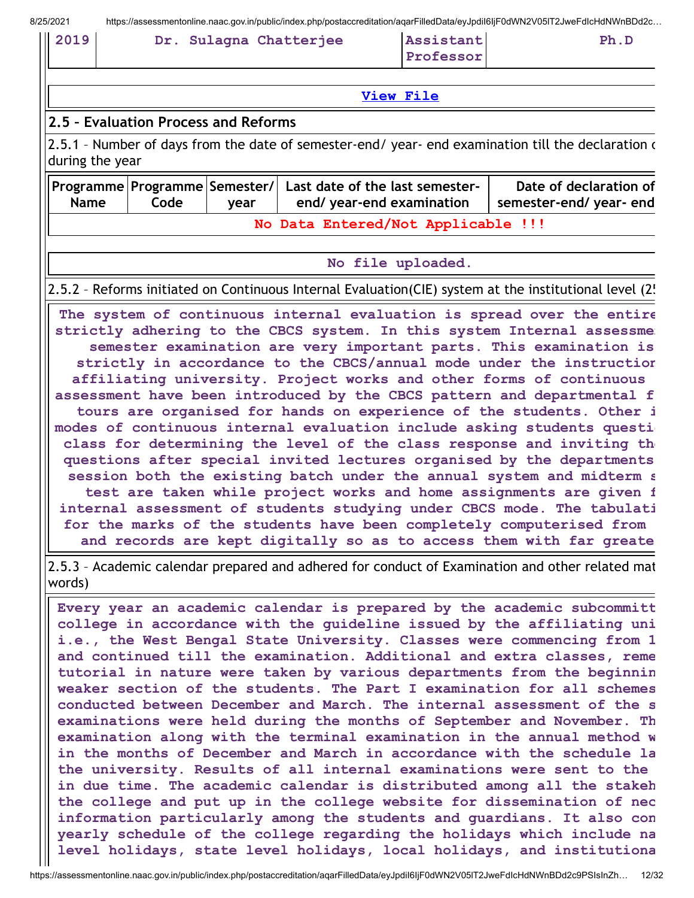| 2019 |  | Dr. Sulagna Chatterjee | Assistant | Ph.D |
|------|--|------------------------|-----------|------|
|      |  |                        | Professor |      |

View [File](https://assessmentonline.naac.gov.in/public/Postacc/Honours_recieved/12144_Honours_recieved_1629546581.xls)

### 2.5 – Evaluation Process and Reforms

2.5.1 - Number of days from the date of semester-end/ year- end examination till the declaration of during the year

| <b>Name</b>                        | Programme Programme Semester/  Last date of the last semester-<br>end/ year-end examination<br>Code<br>vear |  |  | Date of declaration of<br>semester-end/year-end |  |
|------------------------------------|-------------------------------------------------------------------------------------------------------------|--|--|-------------------------------------------------|--|
| No Data Entered/Not Applicable !!! |                                                                                                             |  |  |                                                 |  |

#### No file uploaded.

2.5.2 – Reforms initiated on Continuous Internal Evaluation(CIE) system at the institutional level (25

The system of continuous internal evaluation is spread over the entire strictly adhering to the CBCS system. In this system Internal assessme semester examination are very important parts. This examination is strictly in accordance to the CBCS/annual mode under the instruction affiliating university. Project works and other forms of continuous assessment have been introduced by the CBCS pattern and departmental f tours are organised for hands on experience of the students. Other i modes of continuous internal evaluation include asking students question class for determining the level of the class response and inviting the questions after special invited lectures organised by the departments session both the existing batch under the annual system and midterm s test are taken while project works and home assignments are given f internal assessment of students studying under CBCS mode. The tabulati for the marks of the students have been completely computerised from and records are kept digitally so as to access them with far greate

2.5.3 – Academic calendar prepared and adhered for conduct of Examination and other related mat words)

Every year an academic calendar is prepared by the academic subcommitt college in accordance with the guideline issued by the affiliating uni i.e., the West Bengal State University. Classes were commencing from 1 and continued till the examination. Additional and extra classes, reme tutorial in nature were taken by various departments from the beginnin weaker section of the students. The Part I examination for all schemes conducted between December and March. The internal assessment of the s examinations were held during the months of September and November. Th examination along with the terminal examination in the annual method w in the months of December and March in accordance with the schedule la the university. Results of all internal examinations were sent to the in due time. The academic calendar is distributed among all the stakeh the college and put up in the college website for dissemination of nec information particularly among the students and guardians. It also con yearly schedule of the college regarding the holidays which include na level holidays, state level holidays, local holidays, and institutiona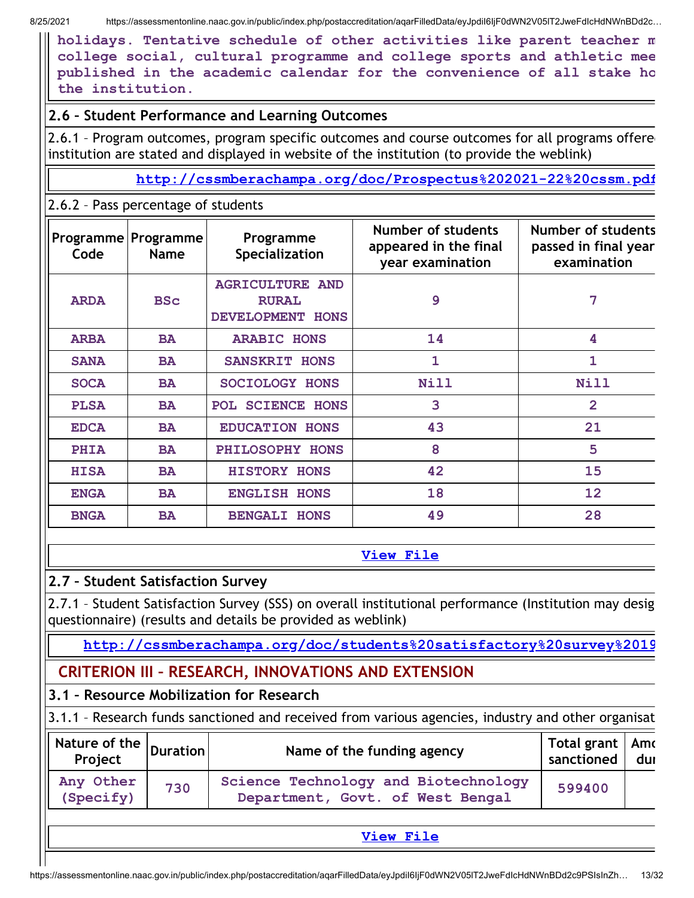holidays. Tentative schedule of other activities like parent teacher m college social, cultural programme and college sports and athletic mee published in the academic calendar for the convenience of all stake ho the institution.

## 2.6 – Student Performance and Learning Outcomes

2.6.1 - Program outcomes, program specific outcomes and course outcomes for all programs offered institution are stated and displayed in website of the institution (to provide the weblink)

<http://cssmberachampa.org/doc/Prospectus%202021-22%20cssm.pdf>

## 2.6.2 – Pass percentage of students

| Code        | Programme   Programme<br><b>Name</b> | Programme<br>Specialization                                | Number of students<br>appeared in the final<br>year examination | <b>Number of students</b><br>passed in final year<br>examination |
|-------------|--------------------------------------|------------------------------------------------------------|-----------------------------------------------------------------|------------------------------------------------------------------|
| <b>ARDA</b> | <b>BSc</b>                           | <b>AGRICULTURE AND</b><br><b>RURAL</b><br>DEVELOPMENT HONS | 9                                                               | 7                                                                |
| <b>ARBA</b> | <b>BA</b>                            | <b>ARABIC HONS</b>                                         | 14                                                              | 4                                                                |
| <b>SANA</b> | <b>BA</b>                            | <b>SANSKRIT HONS</b>                                       | $\mathbf{1}$                                                    | 1                                                                |
| <b>SOCA</b> | <b>BA</b>                            | SOCIOLOGY HONS                                             | Nill                                                            | Nill                                                             |
| <b>PLSA</b> | <b>BA</b>                            | POL SCIENCE HONS                                           | 3                                                               | $\overline{2}$                                                   |
| <b>EDCA</b> | <b>BA</b>                            | <b>EDUCATION HONS</b>                                      | 43                                                              | 21                                                               |
| <b>PHIA</b> | <b>BA</b>                            | PHILOSOPHY HONS                                            | 8                                                               | 5                                                                |
| <b>HISA</b> | <b>BA</b>                            | <b>HISTORY HONS</b>                                        | 42                                                              | 15                                                               |
| <b>ENGA</b> | <b>BA</b>                            | <b>ENGLISH HONS</b>                                        | 18                                                              | 12                                                               |
| <b>BNGA</b> | <b>BA</b>                            | <b>BENGALI HONS</b>                                        | 49                                                              | 28                                                               |

### View [File](https://assessmentonline.naac.gov.in/public/Postacc/Pass_percentage/12144_Pass_percentage_1629535406.xlsx)

## 2.7 – Student Satisfaction Survey

2.7.1 – Student Satisfaction Survey (SSS) on overall institutional performance (Institution may desig questionnaire) (results and details be provided as weblink)

[http://cssmberachampa.org/doc/students%20satisfactory%20survey%2019](http://cssmberachampa.org/doc/students%20satisfactory%20survey%2019_20.pdf)

# CRITERION III – RESEARCH, INNOVATIONS AND EXTENSION

# 3.1 – Resource Mobilization for Research

3.1.1 – Research funds sanctioned and received from various agencies, industry and other organisat

| Any Other<br>Science Technology and Biotechnology<br>730<br>599400 | $\frac{1}{\sqrt{2}}$ Nature of the $\left $ Duration $\right $ | Name of the funding agency       | Total grant   Amc<br>sanctioned | dur d |
|--------------------------------------------------------------------|----------------------------------------------------------------|----------------------------------|---------------------------------|-------|
|                                                                    | (Specify)                                                      | Department, Govt. of West Bengal |                                 |       |

### View [File](https://assessmentonline.naac.gov.in/public/Postacc/Research_Fund/12144_Research_Fund_1629905211.xls)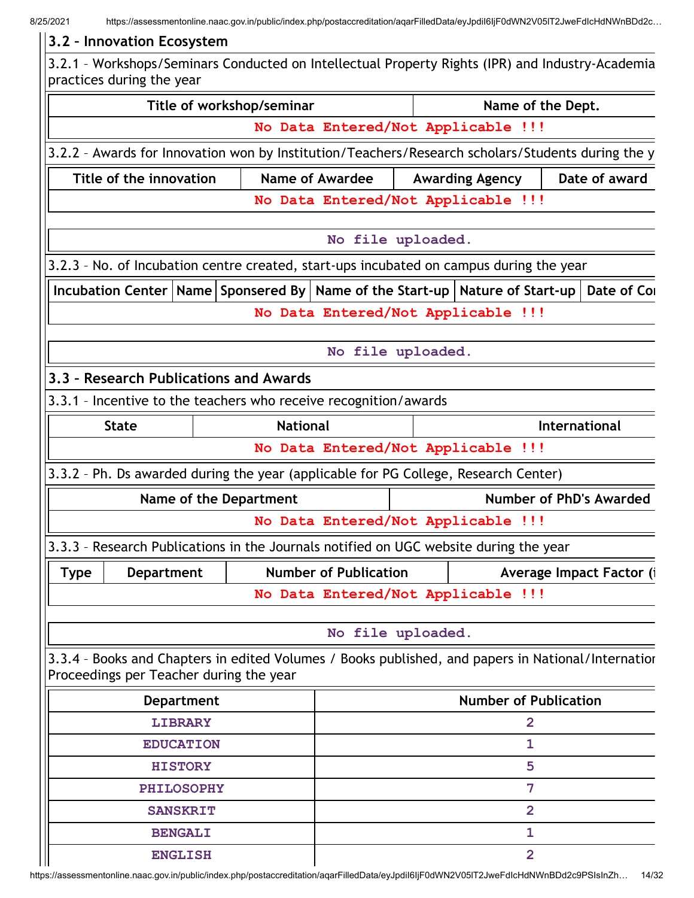| 3.2 - Innovation Ecosystem                                                                        |                         |                   |                                                                                       |                              |                                    |                                                                                                    |
|---------------------------------------------------------------------------------------------------|-------------------------|-------------------|---------------------------------------------------------------------------------------|------------------------------|------------------------------------|----------------------------------------------------------------------------------------------------|
| practices during the year                                                                         |                         |                   |                                                                                       |                              |                                    | 3.2.1 - Workshops/Seminars Conducted on Intellectual Property Rights (IPR) and Industry-Academia   |
|                                                                                                   |                         |                   | Title of workshop/seminar                                                             |                              | Name of the Dept.                  |                                                                                                    |
|                                                                                                   |                         |                   |                                                                                       |                              | No Data Entered/Not Applicable !!! |                                                                                                    |
|                                                                                                   |                         |                   |                                                                                       |                              |                                    | 3.2.2 - Awards for Innovation won by Institution/Teachers/Research scholars/Students during the y  |
|                                                                                                   | Title of the innovation |                   |                                                                                       | Name of Awardee              | <b>Awarding Agency</b>             | Date of award                                                                                      |
|                                                                                                   |                         |                   |                                                                                       |                              | No Data Entered/Not Applicable !!! |                                                                                                    |
|                                                                                                   |                         |                   |                                                                                       | No file uploaded.            |                                    |                                                                                                    |
| 3.2.3 - No. of Incubation centre created, start-ups incubated on campus during the year           |                         |                   |                                                                                       |                              |                                    |                                                                                                    |
| Incubation Center   Name   Sponsered By   Name of the Start-up   Nature of Start-up   Date of Con |                         |                   |                                                                                       |                              |                                    |                                                                                                    |
|                                                                                                   |                         |                   |                                                                                       |                              | No Data Entered/Not Applicable !!! |                                                                                                    |
|                                                                                                   |                         |                   |                                                                                       | No file uploaded.            |                                    |                                                                                                    |
| 3.3 - Research Publications and Awards                                                            |                         |                   |                                                                                       |                              |                                    |                                                                                                    |
| 3.3.1 - Incentive to the teachers who receive recognition/awards                                  |                         |                   |                                                                                       |                              |                                    |                                                                                                    |
| <b>National</b><br><b>State</b>                                                                   |                         |                   |                                                                                       |                              | <b>International</b>               |                                                                                                    |
|                                                                                                   |                         |                   |                                                                                       |                              | No Data Entered/Not Applicable !!! |                                                                                                    |
| 3.3.2 - Ph. Ds awarded during the year (applicable for PG College, Research Center)               |                         |                   |                                                                                       |                              |                                    |                                                                                                    |
|                                                                                                   |                         |                   | Name of the Department                                                                |                              |                                    | <b>Number of PhD's Awarded</b>                                                                     |
|                                                                                                   |                         |                   |                                                                                       |                              | No Data Entered/Not Applicable !!! |                                                                                                    |
|                                                                                                   |                         |                   | 3.3.3 - Research Publications in the Journals notified on UGC website during the year |                              |                                    |                                                                                                    |
| <b>Type</b>                                                                                       | <b>Department</b>       |                   |                                                                                       | <b>Number of Publication</b> |                                    | Average Impact Factor (i                                                                           |
|                                                                                                   |                         |                   |                                                                                       |                              | No Data Entered/Not Applicable !!! |                                                                                                    |
|                                                                                                   |                         |                   |                                                                                       | No file uploaded.            |                                    |                                                                                                    |
|                                                                                                   |                         |                   |                                                                                       |                              |                                    |                                                                                                    |
|                                                                                                   |                         |                   | Proceedings per Teacher during the year                                               |                              |                                    | 3.3.4 - Books and Chapters in edited Volumes / Books published, and papers in National/Internatior |
| <b>Department</b>                                                                                 |                         |                   |                                                                                       | <b>Number of Publication</b> |                                    |                                                                                                    |
| <b>LIBRARY</b>                                                                                    |                         |                   |                                                                                       | $\overline{\mathbf{2}}$      |                                    |                                                                                                    |
| <b>EDUCATION</b>                                                                                  |                         |                   |                                                                                       | 1                            |                                    |                                                                                                    |
|                                                                                                   |                         | <b>HISTORY</b>    |                                                                                       |                              | 5                                  |                                                                                                    |
|                                                                                                   |                         | <b>PHILOSOPHY</b> |                                                                                       |                              | 7                                  |                                                                                                    |
|                                                                                                   |                         | <b>SANSKRIT</b>   |                                                                                       |                              | $\overline{2}$                     |                                                                                                    |
|                                                                                                   |                         | <b>BENGALI</b>    |                                                                                       |                              | 1                                  |                                                                                                    |
|                                                                                                   |                         | <b>ENGLISH</b>    |                                                                                       |                              | $\overline{2}$                     |                                                                                                    |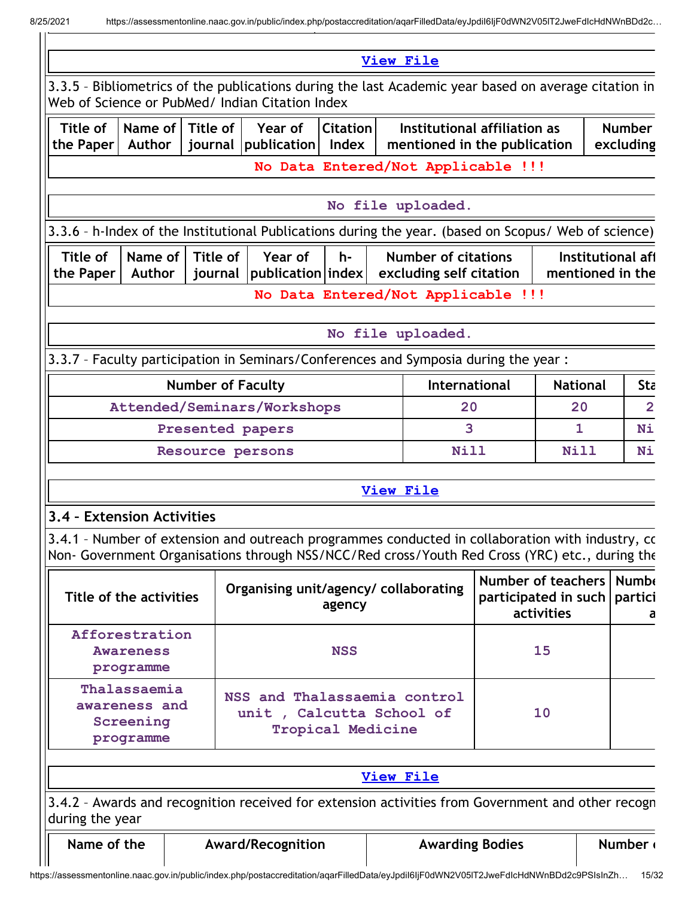|                                                         |                          |                     | 3.3.5 - Bibliometrics of the publications during the last Academic year based on average citation in                                                                                               |                          |    | <b>View File</b>                                             |                  |                                                   |                            |  |
|---------------------------------------------------------|--------------------------|---------------------|----------------------------------------------------------------------------------------------------------------------------------------------------------------------------------------------------|--------------------------|----|--------------------------------------------------------------|------------------|---------------------------------------------------|----------------------------|--|
|                                                         |                          |                     | Web of Science or PubMed/ Indian Citation Index                                                                                                                                                    |                          |    |                                                              |                  |                                                   |                            |  |
| Title of<br>the Paper   Author                          | Name of                  | Title of            | Year of<br>journal publication Index                                                                                                                                                               | <b>Citation</b>          |    | Institutional affiliation as<br>mentioned in the publication |                  |                                                   | <b>Number</b><br>excluding |  |
|                                                         |                          |                     |                                                                                                                                                                                                    |                          |    | No Data Entered/Not Applicable !!!                           |                  |                                                   |                            |  |
|                                                         |                          |                     |                                                                                                                                                                                                    |                          |    | No file uploaded.                                            |                  |                                                   |                            |  |
|                                                         |                          |                     | 3.3.6 - h-Index of the Institutional Publications during the year. (based on Scopus/ Web of science)                                                                                               |                          |    |                                                              |                  |                                                   |                            |  |
| Title of<br>the Paper                                   | Name of<br><b>Author</b> | Title of<br>journal | Year of<br>$ $ publication $ $ index $ $                                                                                                                                                           | $h -$                    |    | <b>Number of citations</b><br>excluding self citation        | mentioned in the |                                                   | Institutional aff          |  |
|                                                         |                          |                     |                                                                                                                                                                                                    |                          |    | No Data Entered/Not Applicable !!!                           |                  |                                                   |                            |  |
|                                                         |                          |                     |                                                                                                                                                                                                    |                          |    | No file uploaded.                                            |                  |                                                   |                            |  |
|                                                         |                          |                     | 3.3.7 - Faculty participation in Seminars/Conferences and Symposia during the year :                                                                                                               |                          |    |                                                              |                  |                                                   |                            |  |
| <b>Number of Faculty</b>                                |                          |                     |                                                                                                                                                                                                    |                          |    | International                                                |                  |                                                   | Sta                        |  |
| Attended/Seminars/Workshops                             |                          |                     |                                                                                                                                                                                                    |                          | 20 | <b>National</b><br>20<br>1                                   |                  | $\overline{2}$                                    |                            |  |
| Presented papers                                        |                          |                     |                                                                                                                                                                                                    |                          | 3  |                                                              |                  | Ni                                                |                            |  |
| Resource persons                                        |                          |                     |                                                                                                                                                                                                    |                          |    | Nill                                                         | <b>Nill</b>      |                                                   | Ni                         |  |
|                                                         |                          |                     |                                                                                                                                                                                                    |                          |    | <b>View File</b>                                             |                  |                                                   |                            |  |
| 3.4 - Extension Activities                              |                          |                     |                                                                                                                                                                                                    |                          |    |                                                              |                  |                                                   |                            |  |
|                                                         |                          |                     | 3.4.1 - Number of extension and outreach programmes conducted in collaboration with industry, cc<br>Non- Government Organisations through NSS/NCC/Red cross/Youth Red Cross (YRC) etc., during the |                          |    |                                                              |                  |                                                   |                            |  |
|                                                         | Title of the activities  |                     | Organising unit/agency/ collaborating                                                                                                                                                              | agency                   |    |                                                              | activities       |                                                   | <b>Numb</b><br>partici     |  |
| Afforestration<br><b>Awareness</b><br>programme         |                          |                     |                                                                                                                                                                                                    | <b>NSS</b>               |    |                                                              | 15               | <b>Number of teachers</b><br>participated in such |                            |  |
| Thalassaemia<br>awareness and<br>Screening<br>programme |                          |                     | NSS and Thalassaemia control<br>unit, Calcutta School of                                                                                                                                           | <b>Tropical Medicine</b> |    |                                                              | 10               |                                                   |                            |  |
|                                                         |                          |                     |                                                                                                                                                                                                    |                          |    |                                                              |                  |                                                   |                            |  |
|                                                         |                          |                     |                                                                                                                                                                                                    |                          |    | <b>View File</b>                                             |                  |                                                   |                            |  |
| during the year                                         |                          |                     | 3.4.2 - Awards and recognition received for extension activities from Government and other recogn                                                                                                  |                          |    |                                                              |                  |                                                   |                            |  |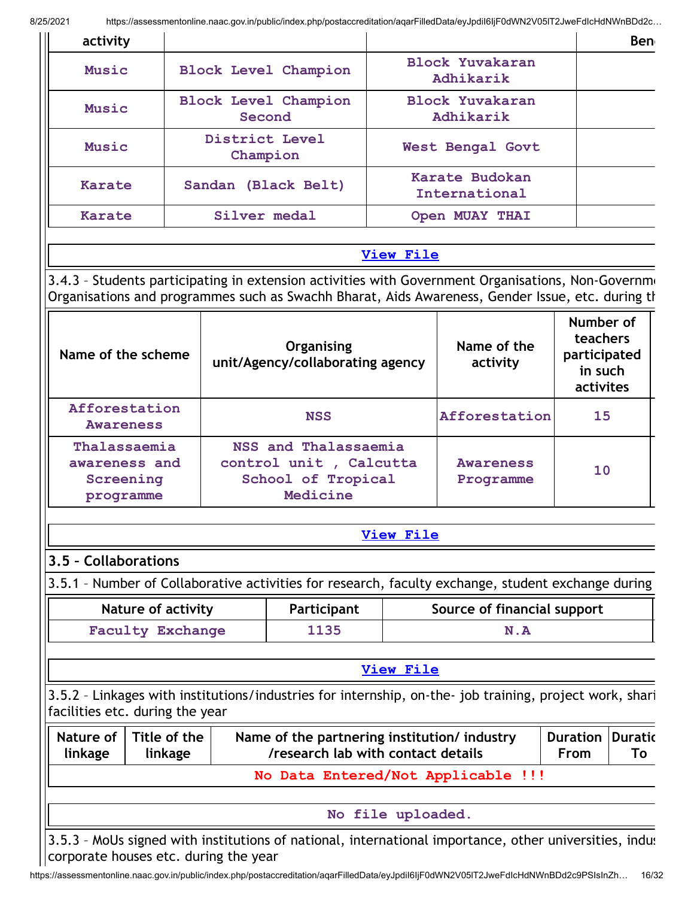| activity                                |                                                      |                            |                                                                                   |                                     |                                                                                                                                                                                                        |                                                               | <b>Ben</b>           |  |
|-----------------------------------------|------------------------------------------------------|----------------------------|-----------------------------------------------------------------------------------|-------------------------------------|--------------------------------------------------------------------------------------------------------------------------------------------------------------------------------------------------------|---------------------------------------------------------------|----------------------|--|
| Music                                   |                                                      |                            | <b>Block Level Champion</b>                                                       |                                     | <b>Block Yuvakaran</b><br>Adhikarik                                                                                                                                                                    |                                                               |                      |  |
| Music                                   |                                                      |                            | <b>Block Level Champion</b><br>Second                                             | <b>Block Yuvakaran</b><br>Adhikarik |                                                                                                                                                                                                        |                                                               |                      |  |
| Music                                   |                                                      | District Level<br>Champion |                                                                                   | <b>West Bengal Govt</b>             |                                                                                                                                                                                                        |                                                               |                      |  |
| <b>Karate</b>                           |                                                      |                            | Sandan (Black Belt)                                                               |                                     | Karate Budokan<br>International                                                                                                                                                                        |                                                               |                      |  |
| <b>Karate</b>                           |                                                      | Silver medal               |                                                                                   |                                     | Open MUAY THAI                                                                                                                                                                                         |                                                               |                      |  |
|                                         |                                                      |                            |                                                                                   | <b>View File</b>                    |                                                                                                                                                                                                        |                                                               |                      |  |
|                                         |                                                      |                            |                                                                                   |                                     | 3.4.3 - Students participating in extension activities with Government Organisations, Non-Governme<br>Organisations and programmes such as Swachh Bharat, Aids Awareness, Gender Issue, etc. during th |                                                               |                      |  |
| Name of the scheme                      |                                                      |                            | Organising<br>unit/Agency/collaborating agency                                    |                                     | Name of the<br>activity                                                                                                                                                                                | Number of<br>teachers<br>participated<br>in such<br>activites |                      |  |
| Afforestation<br>Awareness              |                                                      |                            | <b>NSS</b>                                                                        |                                     | Afforestation                                                                                                                                                                                          | 15                                                            |                      |  |
| awareness and<br>Screening<br>programme | Thalassaemia                                         |                            | NSS and Thalassaemia<br>control unit, Calcutta<br>School of Tropical<br>Medicine  |                                     | <b>Awareness</b><br>10<br>Programme                                                                                                                                                                    |                                                               |                      |  |
|                                         |                                                      |                            |                                                                                   | <b>View File</b>                    |                                                                                                                                                                                                        |                                                               |                      |  |
| 3.5 - Collaborations                    |                                                      |                            |                                                                                   |                                     |                                                                                                                                                                                                        |                                                               |                      |  |
|                                         |                                                      |                            |                                                                                   |                                     | 3.5.1 - Number of Collaborative activities for research, faculty exchange, student exchange during                                                                                                     |                                                               |                      |  |
|                                         | <b>Nature of activity</b><br><b>Faculty Exchange</b> |                            | Participant<br>1135                                                               |                                     | Source of financial support<br>N.A                                                                                                                                                                     |                                                               |                      |  |
|                                         |                                                      |                            |                                                                                   |                                     |                                                                                                                                                                                                        |                                                               |                      |  |
|                                         |                                                      |                            |                                                                                   | View File                           |                                                                                                                                                                                                        |                                                               |                      |  |
|                                         | facilities etc. during the year                      |                            |                                                                                   |                                     | 3.5.2 - Linkages with institutions/industries for internship, on-the- job training, project work, shari                                                                                                |                                                               |                      |  |
| Nature of<br>linkage                    | Title of the<br>linkage                              |                            | Name of the partnering institution/industry<br>/research lab with contact details |                                     |                                                                                                                                                                                                        | <b>Duration</b><br>From                                       | <b>Duratic</b><br>To |  |
|                                         |                                                      |                            |                                                                                   |                                     | No Data Entered/Not Applicable !!!                                                                                                                                                                     |                                                               |                      |  |
|                                         |                                                      |                            |                                                                                   | No file uploaded.                   |                                                                                                                                                                                                        |                                                               |                      |  |
|                                         |                                                      |                            |                                                                                   |                                     |                                                                                                                                                                                                        |                                                               |                      |  |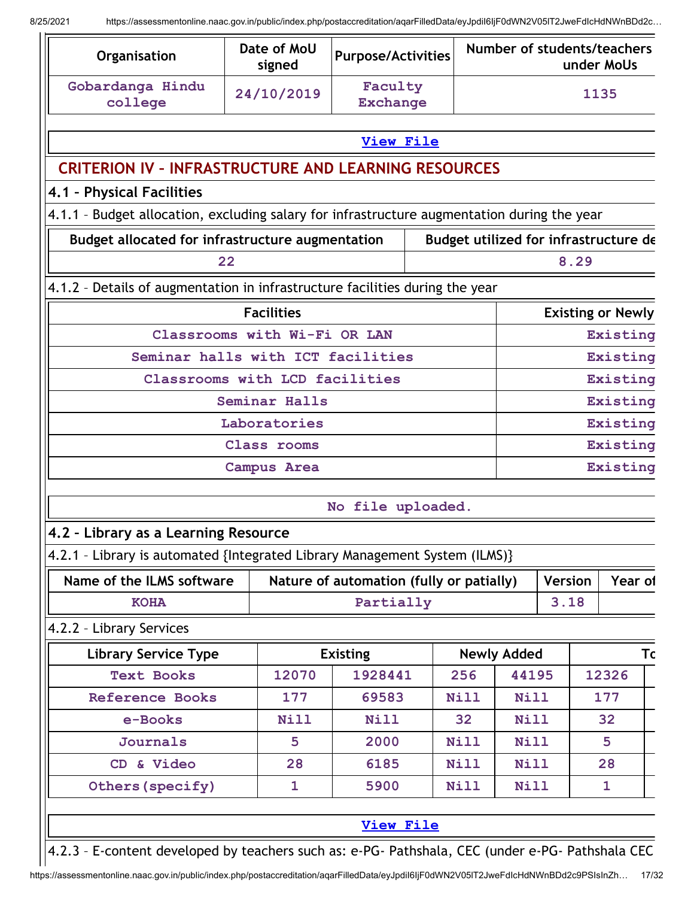| Organisation                                                                                     | Date of MoU<br>signed             | <b>Purpose/Activities</b>                |  |             | Number of students/teachers           |                |      | under MoUs               |  |
|--------------------------------------------------------------------------------------------------|-----------------------------------|------------------------------------------|--|-------------|---------------------------------------|----------------|------|--------------------------|--|
| Gobardanga Hindu<br>college                                                                      | 24/10/2019                        | Faculty<br><b>Exchange</b>               |  |             |                                       | 1135           |      |                          |  |
|                                                                                                  |                                   | <b>View File</b>                         |  |             |                                       |                |      |                          |  |
| <b>CRITERION IV - INFRASTRUCTURE AND LEARNING RESOURCES</b>                                      |                                   |                                          |  |             |                                       |                |      |                          |  |
| 4.1 - Physical Facilities                                                                        |                                   |                                          |  |             |                                       |                |      |                          |  |
| 4.1.1 - Budget allocation, excluding salary for infrastructure augmentation during the year      |                                   |                                          |  |             |                                       |                |      |                          |  |
| <b>Budget allocated for infrastructure augmentation</b>                                          |                                   |                                          |  |             | Budget utilized for infrastructure de |                |      |                          |  |
| 22                                                                                               |                                   |                                          |  |             |                                       |                | 8.29 |                          |  |
| 4.1.2 - Details of augmentation in infrastructure facilities during the year                     |                                   |                                          |  |             |                                       |                |      |                          |  |
|                                                                                                  | <b>Facilities</b>                 |                                          |  |             |                                       |                |      | <b>Existing or Newly</b> |  |
|                                                                                                  | Classrooms with Wi-Fi OR LAN      |                                          |  |             |                                       |                |      | Existing                 |  |
|                                                                                                  | Seminar halls with ICT facilities |                                          |  |             |                                       |                |      | Existing                 |  |
|                                                                                                  | Classrooms with LCD facilities    |                                          |  |             | Existing                              |                |      |                          |  |
| Seminar Halls                                                                                    |                                   |                                          |  |             |                                       | Existing       |      |                          |  |
| Laboratories                                                                                     |                                   |                                          |  |             |                                       | Existing       |      |                          |  |
| Class rooms                                                                                      |                                   |                                          |  |             | Existing                              |                |      |                          |  |
|                                                                                                  | <b>Campus Area</b>                |                                          |  |             | Existing                              |                |      |                          |  |
|                                                                                                  |                                   | No file uploaded.                        |  |             |                                       |                |      |                          |  |
| 4.2 - Library as a Learning Resource                                                             |                                   |                                          |  |             |                                       |                |      |                          |  |
| 4.2.1 - Library is automated {Integrated Library Management System (ILMS)}                       |                                   |                                          |  |             |                                       |                |      |                          |  |
| Name of the ILMS software                                                                        |                                   | Nature of automation (fully or patially) |  |             |                                       | <b>Version</b> |      | Year of                  |  |
| <b>KOHA</b>                                                                                      |                                   | Partially                                |  |             |                                       | 3.18           |      |                          |  |
| 4.2.2 - Library Services                                                                         |                                   |                                          |  |             |                                       |                |      |                          |  |
| <b>Library Service Type</b>                                                                      |                                   | <b>Existing</b>                          |  |             | <b>Newly Added</b>                    |                |      | Тc                       |  |
| <b>Text Books</b>                                                                                | 12070                             | 1928441                                  |  | 256         | 44195                                 |                |      | 12326                    |  |
| <b>Reference Books</b>                                                                           | 177                               | 69583                                    |  | <b>Nill</b> | <b>Nill</b>                           |                |      | 177                      |  |
| e-Books                                                                                          | <b>Nill</b>                       | <b>Nill</b>                              |  | 32          | <b>Nill</b>                           |                |      | 32                       |  |
| <b>Journals</b>                                                                                  | 5                                 | 2000                                     |  | <b>Nill</b> | <b>Nill</b>                           |                |      | 5                        |  |
| CD & Video                                                                                       | 28                                | 6185                                     |  | <b>Nill</b> | Nill                                  |                |      | 28                       |  |
| Others (specify)                                                                                 | 1                                 | 5900                                     |  | <b>Nill</b> | <b>Nill</b>                           |                |      | 1                        |  |
|                                                                                                  |                                   | <b>View File</b>                         |  |             |                                       |                |      |                          |  |
| 4.2.3 - E-content developed by teachers such as: e-PG- Pathshala, CEC (under e-PG- Pathshala CEC |                                   |                                          |  |             |                                       |                |      |                          |  |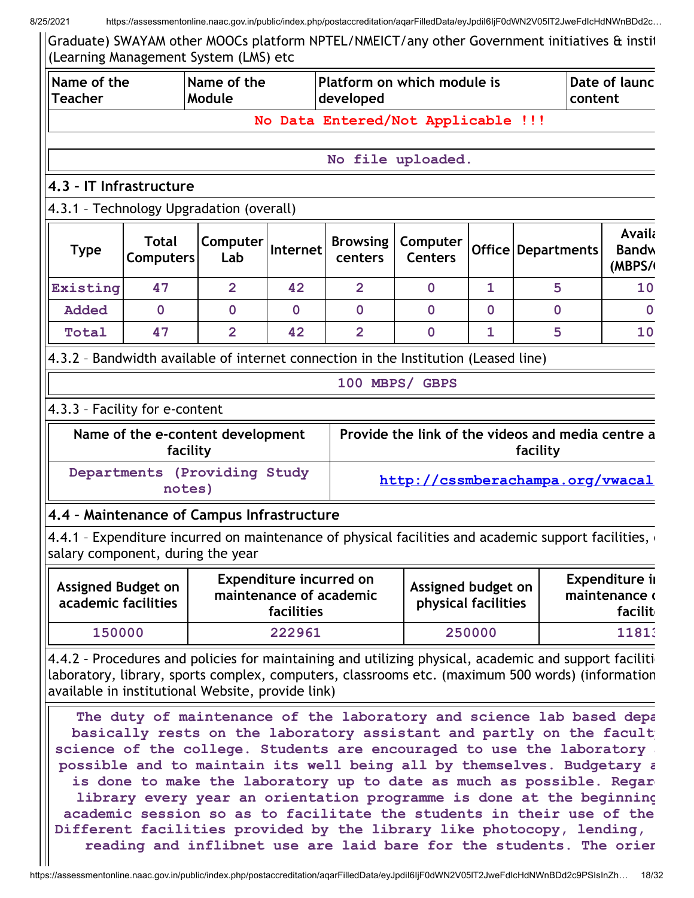Ш

8/25/2021 https://assessmentonline.naac.gov.in/public/index.php/postaccreditation/aqarFilledData/eyJpdiI6IjF0dWN2V05lT2JweFdIcHdNWnBDd2c…

Graduate) SWAYAM other MOOCs platform NPTEL/NMEICT/any other Government initiatives & instit (Learning Management System (LMS) etc

| Name of the<br><b>Teacher</b>                                                                                                                                      |             | Name of the<br>Module                             |                                                                         | developed      | Platform on which module is               |                                  |                                                                                                                                                                                                                                                                                                                                                                                                                                                 | Date of launc<br>content                   |
|--------------------------------------------------------------------------------------------------------------------------------------------------------------------|-------------|---------------------------------------------------|-------------------------------------------------------------------------|----------------|-------------------------------------------|----------------------------------|-------------------------------------------------------------------------------------------------------------------------------------------------------------------------------------------------------------------------------------------------------------------------------------------------------------------------------------------------------------------------------------------------------------------------------------------------|--------------------------------------------|
|                                                                                                                                                                    |             |                                                   |                                                                         |                | No Data Entered/Not Applicable !!!        |                                  |                                                                                                                                                                                                                                                                                                                                                                                                                                                 |                                            |
|                                                                                                                                                                    |             |                                                   |                                                                         |                | No file uploaded.                         |                                  |                                                                                                                                                                                                                                                                                                                                                                                                                                                 |                                            |
| 4.3 - IT Infrastructure                                                                                                                                            |             |                                                   |                                                                         |                |                                           |                                  |                                                                                                                                                                                                                                                                                                                                                                                                                                                 |                                            |
| 4.3.1 - Technology Upgradation (overall)                                                                                                                           |             |                                                   |                                                                         |                |                                           |                                  |                                                                                                                                                                                                                                                                                                                                                                                                                                                 |                                            |
| <b>Total</b><br>Computer<br><b>Browsing</b><br>Computer<br>Internet<br>Office   Departments<br><b>Type</b><br><b>Computers</b><br>Lab<br><b>Centers</b><br>centers |             |                                                   |                                                                         |                |                                           | Availa<br><b>Bandw</b><br>(MBPS/ |                                                                                                                                                                                                                                                                                                                                                                                                                                                 |                                            |
| Existing                                                                                                                                                           | 47          | $\overline{2}$                                    | 42                                                                      | $\overline{2}$ | $\mathbf 0$                               | $\mathbf{1}$                     | 5                                                                                                                                                                                                                                                                                                                                                                                                                                               | 10                                         |
| <b>Added</b>                                                                                                                                                       | $\mathbf 0$ | $\mathbf 0$                                       | $\mathbf 0$                                                             | $\mathbf 0$    | $\mathbf 0$                               | $\mathbf 0$                      | $\mathbf 0$                                                                                                                                                                                                                                                                                                                                                                                                                                     | 0                                          |
| Total                                                                                                                                                              | 47          | $\overline{2}$                                    | 42                                                                      | $\overline{2}$ | $\mathbf 0$                               | 1                                | 5                                                                                                                                                                                                                                                                                                                                                                                                                                               | 10                                         |
| 4.3.2 - Bandwidth available of internet connection in the Institution (Leased line)                                                                                |             |                                                   |                                                                         |                |                                           |                                  |                                                                                                                                                                                                                                                                                                                                                                                                                                                 |                                            |
|                                                                                                                                                                    |             |                                                   |                                                                         |                | 100 MBPS/ GBPS                            |                                  |                                                                                                                                                                                                                                                                                                                                                                                                                                                 |                                            |
| 4.3.3 - Facility for e-content                                                                                                                                     |             |                                                   |                                                                         |                |                                           |                                  |                                                                                                                                                                                                                                                                                                                                                                                                                                                 |                                            |
|                                                                                                                                                                    | facility    | Name of the e-content development                 |                                                                         |                |                                           |                                  | Provide the link of the videos and media centre a<br>facility                                                                                                                                                                                                                                                                                                                                                                                   |                                            |
|                                                                                                                                                                    | notes)      | Departments (Providing Study                      |                                                                         |                |                                           |                                  | http://cssmberachampa.org/vwacal                                                                                                                                                                                                                                                                                                                                                                                                                |                                            |
| 4.4 - Maintenance of Campus Infrastructure                                                                                                                         |             |                                                   |                                                                         |                |                                           |                                  |                                                                                                                                                                                                                                                                                                                                                                                                                                                 |                                            |
| salary component, during the year                                                                                                                                  |             |                                                   |                                                                         |                |                                           |                                  | 4.4.1 - Expenditure incurred on maintenance of physical facilities and academic support facilities,                                                                                                                                                                                                                                                                                                                                             |                                            |
| <b>Assigned Budget on</b><br>academic facilities                                                                                                                   |             |                                                   | <b>Expenditure incurred on</b><br>maintenance of academic<br>facilities |                | Assigned budget on<br>physical facilities |                                  |                                                                                                                                                                                                                                                                                                                                                                                                                                                 | Expenditure ii<br>maintenance o<br>facilit |
| 150000                                                                                                                                                             |             |                                                   | 222961                                                                  |                |                                           | 250000                           |                                                                                                                                                                                                                                                                                                                                                                                                                                                 | 11813                                      |
|                                                                                                                                                                    |             | available in institutional Website, provide link) |                                                                         |                |                                           |                                  | 4.4.2 - Procedures and policies for maintaining and utilizing physical, academic and support facilition<br>laboratory, library, sports complex, computers, classrooms etc. (maximum 500 words) (information<br>The duty of maintenance of the laboratory and science lab based depa<br>basically rests on the laboratory assistant and partly on the facult<br>science of the college. Students are encouraged to use the laboratory.           |                                            |
|                                                                                                                                                                    |             |                                                   |                                                                         |                |                                           |                                  | possible and to maintain its well being all by themselves. Budgetary a<br>is done to make the laboratory up to date as much as possible. Regar<br>library every year an orientation programme is done at the beginning<br>academic session so as to facilitate the students in their use of the<br>Different facilities provided by the library like photocopy, lending,<br>reading and inflibnet use are laid bare for the students. The orier |                                            |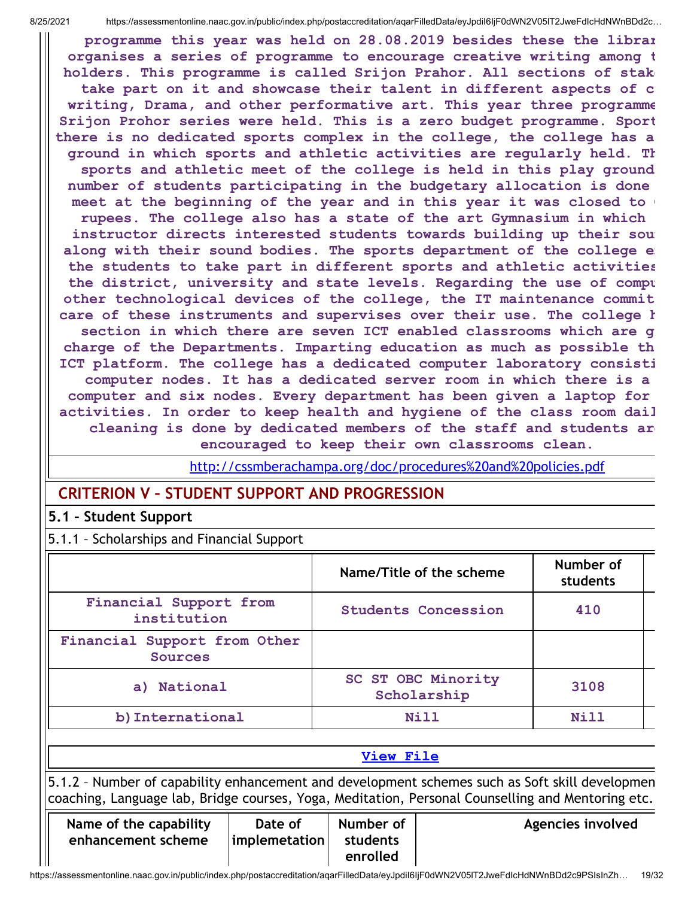programme this year was held on 28.08.2019 besides these the librar organises a series of programme to encourage creative writing among t holders. This programme is called Srijon Prahor. All sections of stake take part on it and showcase their talent in different aspects of c writing, Drama, and other performative art. This year three programme Srijon Prohor series were held. This is a zero budget programme. Sport there is no dedicated sports complex in the college, the college has a ground in which sports and athletic activities are regularly held. Th sports and athletic meet of the college is held in this play ground number of students participating in the budgetary allocation is done meet at the beginning of the year and in this year it was closed to rupees. The college also has a state of the art Gymnasium in which instructor directs interested students towards building up their soun along with their sound bodies. The sports department of the college e the students to take part in different sports and athletic activities the district, university and state levels. Regarding the use of compu other technological devices of the college, the IT maintenance commit care of these instruments and supervises over their use. The college h section in which there are seven ICT enabled classrooms which are g charge of the Departments. Imparting education as much as possible th ICT platform. The college has a dedicated computer laboratory consisti computer nodes. It has a dedicated server room in which there is a computer and six nodes. Every department has been given a laptop for activities. In order to keep health and hygiene of the class room dail cleaning is done by dedicated members of the staff and students are encouraged to keep their own classrooms clean.

<http://cssmberachampa.org/doc/procedures%20and%20policies.pdf>

# CRITERION V – STUDENT SUPPORT AND PROGRESSION

### 5.1 – Student Support

5.1.1 – Scholarships and Financial Support

|                                                | Name/Title of the scheme                 | Number of<br>students |
|------------------------------------------------|------------------------------------------|-----------------------|
| Financial Support from<br>institution          | <b>Students Concession</b>               | 410                   |
| Financial Support from Other<br><b>Sources</b> |                                          |                       |
| a) National                                    | <b>SC ST OBC Minority</b><br>Scholarship | 3108                  |
| b) International                               | Nill                                     | Nill                  |

5.1.2 – Number of capability enhancement and development schemes such as Soft skill developmen coaching, Language lab, Bridge courses, Yoga, Meditation, Personal Counselling and Mentoring etc.,

View [File](https://assessmentonline.naac.gov.in/public/Postacc/Scholarships/12144_Scholarships_1629541159.xls)

| Name of the capability | Date of               | Number of | Agencies involved |
|------------------------|-----------------------|-----------|-------------------|
| enhancement scheme     | $ $ implemetation $ $ | students  |                   |
|                        |                       | enrolled  |                   |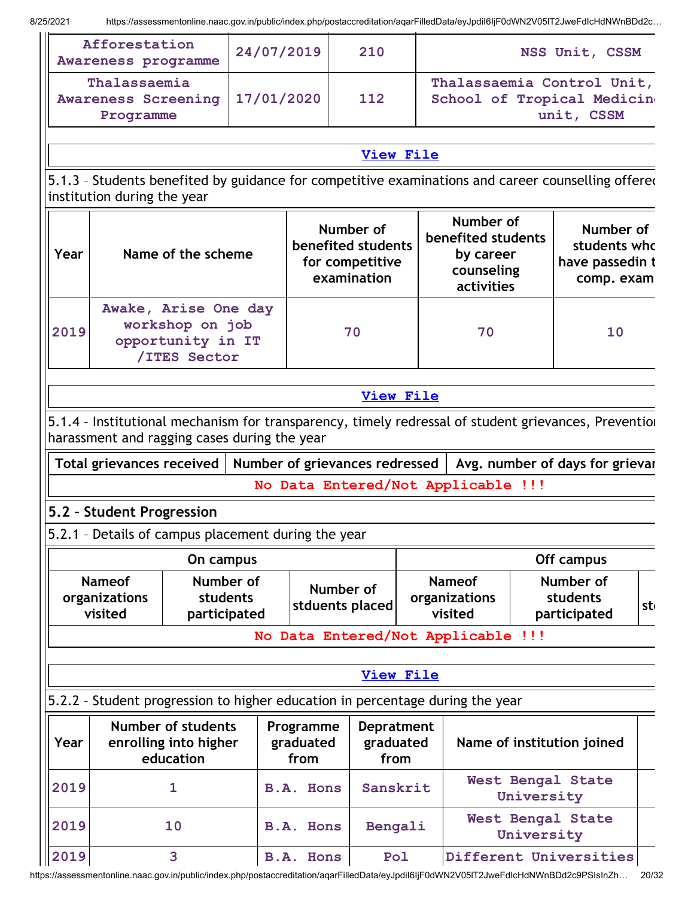| Afforestation<br>Awareness programme                    | 24/07/2019 | 210 | NSS Unit, CSSM                                                          |
|---------------------------------------------------------|------------|-----|-------------------------------------------------------------------------|
| Thalassaemia<br><b>Awareness Screening</b><br>Programme | 17/01/2020 | 112 | Thalassaemia Control Unit,<br>School of Tropical Medicine<br>unit, CSSM |

### View [File](https://assessmentonline.naac.gov.in/public/Postacc/Development_Schemes/12144_Development_Schemes_1629541276.xlsx)

5.1.3 - Students benefited by guidance for competitive examinations and career counselling offered institution during the year

| Year | Name of the scheme                                                           | Number of<br>benefited students<br>for competitive<br>examination | Number of<br>benefited students<br>by career<br>counseling<br>activities | Number of<br>students whc<br>have passedin t<br>comp. exam |
|------|------------------------------------------------------------------------------|-------------------------------------------------------------------|--------------------------------------------------------------------------|------------------------------------------------------------|
| 2019 | Awake, Arise One day<br>workshop on job<br>opportunity in IT<br>/ITES Sector | 70                                                                | 70                                                                       | 10                                                         |

### View [File](https://assessmentonline.naac.gov.in/public/Postacc/Guidance/12144_Guidance_1629541407.xlsx)

5.1.4 – Institutional mechanism for transparency, timely redressal of student grievances, Prevention harassment and ragging cases during the year

Total grievances received | Number of grievances redressed | Avg. number of days for grievar

No Data Entered/Not Applicable !!!

## 5.2 – Student Progression

5.2.1 – Details of campus placement during the year

|                                           | On campus                             |                              | Off campus                                |                                       |    |  |  |
|-------------------------------------------|---------------------------------------|------------------------------|-------------------------------------------|---------------------------------------|----|--|--|
| <b>Nameof</b><br>organizations<br>visited | Number of<br>students<br>participated | Number of<br>stduents placed | <b>Nameof</b><br>organizations<br>visited | Number of<br>students<br>participated | st |  |  |
| No Data Entered/Not Applicable !!!        |                                       |                              |                                           |                                       |    |  |  |

## View [File](https://assessmentonline.naac.gov.in/public/Postacc/Placement/12144_Placement_1629541524.xls)

5.2.2 – Student progression to higher education in percentage during the year

| Year | <b>Number of students</b><br>enrolling into higher<br>education | Programme<br>graduated<br>from | <b>Depratment</b><br>graduated<br>from | Name of institution joined             |  |
|------|-----------------------------------------------------------------|--------------------------------|----------------------------------------|----------------------------------------|--|
| 2019 |                                                                 | <b>B.A. Hons</b>               | Sanskrit                               | <b>West Bengal State</b><br>University |  |
| 2019 | 10                                                              | B.A. Hons                      | Bengali                                | <b>West Bengal State</b><br>University |  |
| 2019 |                                                                 | <b>B.A. Hons</b>               | Pol                                    | Different Universities                 |  |

https://assessmentonline.naac.gov.in/public/index.php/postaccreditation/aqarFilledData/eyJpdiI6IjF0dWN2V05lT2JweFdIcHdNWnBDd2c9PSIsInZh… 20/32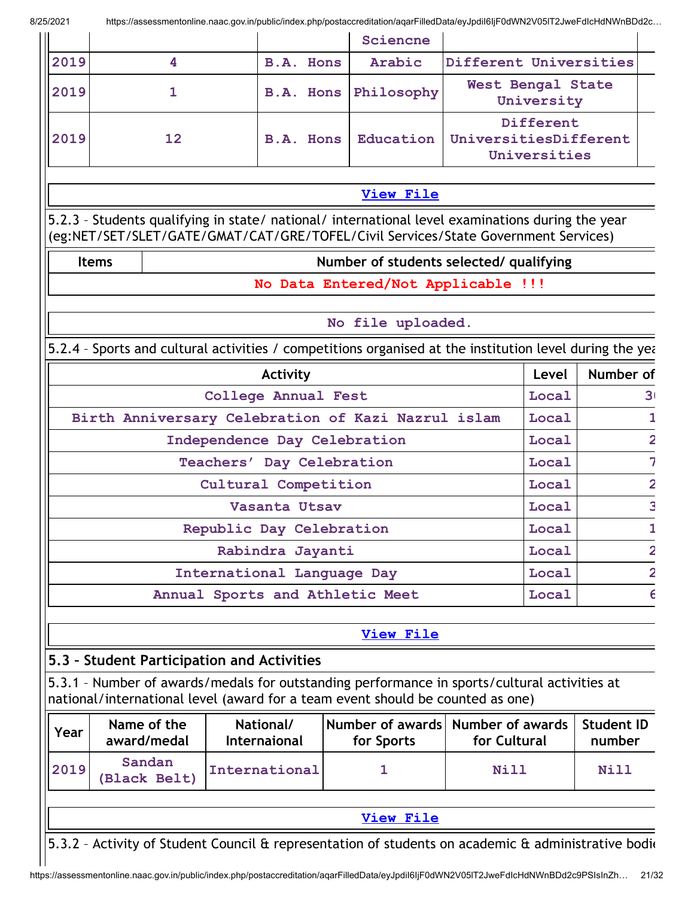|                                                    |                            |                                                                                                                                                                                        |                         | Sciencne         |                                                    |       |                             |  |
|----------------------------------------------------|----------------------------|----------------------------------------------------------------------------------------------------------------------------------------------------------------------------------------|-------------------------|------------------|----------------------------------------------------|-------|-----------------------------|--|
| 2019                                               | 4                          | <b>B.A. Hons</b>                                                                                                                                                                       |                         | Arabic           | Different Universities                             |       |                             |  |
| 2019                                               | $\mathbf{1}$               | B.A. Hons                                                                                                                                                                              |                         | Philosophy       | West Bengal State<br>University                    |       |                             |  |
| 2019                                               | 12                         | <b>B.A. Hons</b>                                                                                                                                                                       |                         | Education        | Different<br>UniversitiesDifferent<br>Universities |       |                             |  |
|                                                    |                            |                                                                                                                                                                                        |                         | <b>View File</b> |                                                    |       |                             |  |
|                                                    |                            | 5.2.3 - Students qualifying in state/ national/ international level examinations during the year<br>(eg:NET/SET/SLET/GATE/GMAT/CAT/GRE/TOFEL/Civil Services/State Government Services) |                         |                  |                                                    |       |                             |  |
|                                                    | <b>Items</b>               |                                                                                                                                                                                        |                         |                  | Number of students selected/ qualifying            |       |                             |  |
|                                                    |                            |                                                                                                                                                                                        |                         |                  | No Data Entered/Not Applicable !!!                 |       |                             |  |
|                                                    |                            |                                                                                                                                                                                        |                         |                  |                                                    |       |                             |  |
|                                                    |                            |                                                                                                                                                                                        | No file uploaded.       |                  |                                                    |       |                             |  |
|                                                    |                            | 5.2.4 - Sports and cultural activities / competitions organised at the institution level during the year                                                                               |                         |                  |                                                    |       |                             |  |
|                                                    |                            | Activity                                                                                                                                                                               |                         |                  |                                                    | Level | Number of                   |  |
|                                                    |                            | College Annual Fest                                                                                                                                                                    |                         |                  |                                                    | Local | 3 <sub>1</sub>              |  |
| Birth Anniversary Celebration of Kazi Nazrul islam |                            |                                                                                                                                                                                        |                         |                  |                                                    | Local |                             |  |
|                                                    |                            | Independence Day Celebration                                                                                                                                                           |                         |                  |                                                    | Local |                             |  |
|                                                    |                            | Teachers' Day Celebration                                                                                                                                                              |                         |                  |                                                    | Local |                             |  |
|                                                    |                            | Cultural Competition                                                                                                                                                                   |                         |                  |                                                    | Local |                             |  |
|                                                    |                            | Vasanta Utsav                                                                                                                                                                          |                         |                  |                                                    | Local |                             |  |
|                                                    |                            | Republic Day Celebration                                                                                                                                                               |                         |                  |                                                    | Local |                             |  |
|                                                    |                            | Rabindra Jayanti                                                                                                                                                                       |                         |                  |                                                    | Local |                             |  |
|                                                    |                            | International Language Day                                                                                                                                                             |                         |                  |                                                    | Local |                             |  |
|                                                    |                            | Annual Sports and Athletic Meet                                                                                                                                                        |                         |                  |                                                    | Local |                             |  |
|                                                    |                            |                                                                                                                                                                                        |                         | <b>View File</b> |                                                    |       |                             |  |
|                                                    |                            | 5.3 - Student Participation and Activities                                                                                                                                             |                         |                  |                                                    |       |                             |  |
|                                                    |                            | 5.3.1 - Number of awards/medals for outstanding performance in sports/cultural activities at<br>national/international level (award for a team event should be counted as one)         |                         |                  |                                                    |       |                             |  |
| Year                                               | Name of the<br>award/medal | National/<br><b>Internaional</b>                                                                                                                                                       | <b>Number of awards</b> | for Sports       | <b>Number of awards</b><br>for Cultural            |       | <b>Student ID</b><br>number |  |
| 2019                                               | Sandan<br>(Black Belt)     | International                                                                                                                                                                          | 1                       |                  | <b>Nill</b>                                        |       | Nill                        |  |
|                                                    |                            |                                                                                                                                                                                        |                         | <b>View File</b> |                                                    |       |                             |  |
|                                                    |                            |                                                                                                                                                                                        |                         |                  |                                                    |       |                             |  |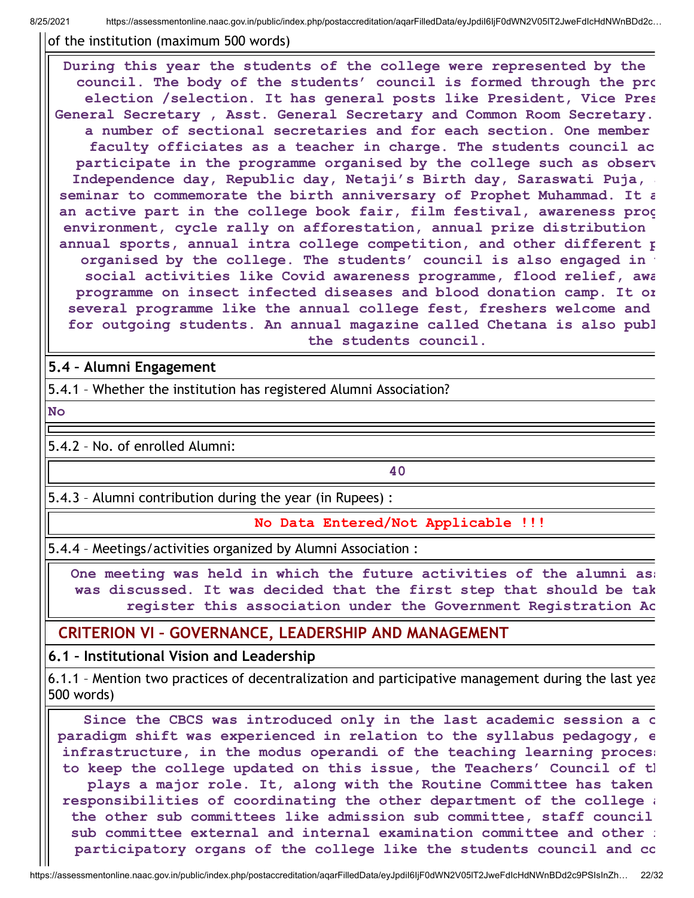of the institution (maximum 500 words)

During this year the students of the college were represented by the council. The body of the students' council is formed through the pro election /selection. It has general posts like President, Vice Pres General Secretary , Asst. General Secretary and Common Room Secretary. a number of sectional secretaries and for each section. One member faculty officiates as a teacher in charge. The students council ac participate in the programme organised by the college such as observ Independence day, Republic day, Netaji's Birth day, Saraswati Puja, a seminar to commemorate the birth anniversary of Prophet Muhammad. It a an active part in the college book fair, film festival, awareness prog environment, cycle rally on afforestation, annual prize distribution annual sports, annual intra college competition, and other different p organised by the college. The students' council is also engaged in social activities like Covid awareness programme, flood relief, awa programme on insect infected diseases and blood donation camp. It or several programme like the annual college fest, freshers welcome and for outgoing students. An annual magazine called Chetana is also publ the students council.

### 5.4 – Alumni Engagement

5.4.1 – Whether the institution has registered Alumni Association?

No

5.4.2 – No. of enrolled Alumni:

40

5.4.3 – Alumni contribution during the year (in Rupees) :

No Data Entered/Not Applicable !!!

5.4.4 – Meetings/activities organized by Alumni Association :

One meeting was held in which the future activities of the alumni as: was discussed. It was decided that the first step that should be tak register this association under the Government Registration Ac

### CRITERION VI – GOVERNANCE, LEADERSHIP AND MANAGEMENT

6.1 – Institutional Vision and Leadership

6.1.1 – Mention two practices of decentralization and participative management during the last yea 500 words)

Since the CBCS was introduced only in the last academic session a c paradigm shift was experienced in relation to the syllabus pedagogy, e infrastructure, in the modus operandi of the teaching learning proces: to keep the college updated on this issue, the Teachers' Council of th plays a major role. It, along with the Routine Committee has taken responsibilities of coordinating the other department of the college a the other sub committees like admission sub committee, staff council sub committee external and internal examination committee and other : participatory organs of the college like the students council and co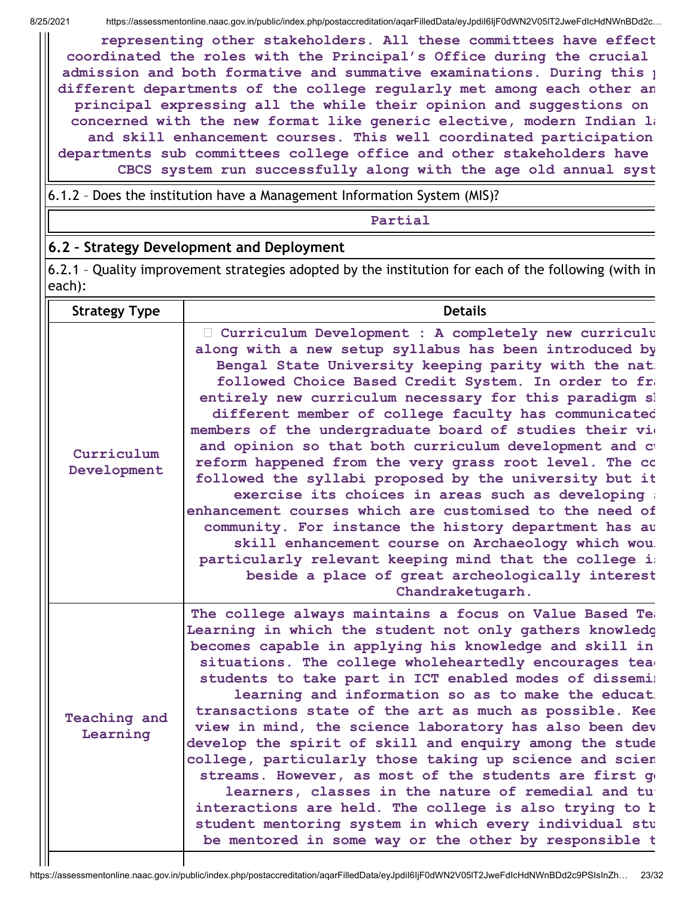$\mathbf{H}$ 

representing other stakeholders. All these committees have effect coordinated the roles with the Principal's Office during the crucial admission and both formative and summative examinations. During this **p** different departments of the college regularly met among each other an principal expressing all the while their opinion and suggestions on concerned with the new format like generic elective, modern Indian  $l_i$ and skill enhancement courses. This well coordinated participation departments sub committees college office and other stakeholders have CBCS system run successfully along with the age old annual syst

6.1.2 – Does the institution have a Management Information System (MIS)?

Partial

### 6.2 – Strategy Development and Deployment

6.2.1 – Quality improvement strategies adopted by the institution for each of the following (with in each):

| <b>Strategy Type</b>      | <b>Details</b>                                                                                                                                                                                                                                                                                                                                                                                                                                                                                                                                                                                                                                                                                                                                                                                                                                                                                                                                            |
|---------------------------|-----------------------------------------------------------------------------------------------------------------------------------------------------------------------------------------------------------------------------------------------------------------------------------------------------------------------------------------------------------------------------------------------------------------------------------------------------------------------------------------------------------------------------------------------------------------------------------------------------------------------------------------------------------------------------------------------------------------------------------------------------------------------------------------------------------------------------------------------------------------------------------------------------------------------------------------------------------|
| Curriculum<br>Development | Curriculum Development : A completely new curriculu<br>along with a new setup syllabus has been introduced by<br>Bengal State University keeping parity with the nat:<br>followed Choice Based Credit System. In order to fra<br>entirely new curriculum necessary for this paradigm sl<br>different member of college faculty has communicated<br>members of the undergraduate board of studies their vio<br>and opinion so that both curriculum development and ct<br>reform happened from the very grass root level. The co<br>followed the syllabi proposed by the university but it<br>exercise its choices in areas such as developing :<br>enhancement courses which are customised to the need of<br>community. For instance the history department has au<br>skill enhancement course on Archaeology which wou<br>particularly relevant keeping mind that the college is<br>beside a place of great archeologically interest<br>Chandraketugarh. |
| Teaching and<br>Learning  | The college always maintains a focus on Value Based Tea<br>Learning in which the student not only gathers knowledg<br>becomes capable in applying his knowledge and skill in<br>situations. The college wholeheartedly encourages tead<br>students to take part in ICT enabled modes of dissemil<br>learning and information so as to make the educat:<br>transactions state of the art as much as possible. Kee<br>view in mind, the science laboratory has also been dev<br>develop the spirit of skill and enquiry among the stude<br>college, particularly those taking up science and scien<br>streams. However, as most of the students are first go<br>learners, classes in the nature of remedial and tu<br>interactions are held. The college is also trying to b<br>student mentoring system in which every individual stu<br>be mentored in some way or the other by responsible t                                                             |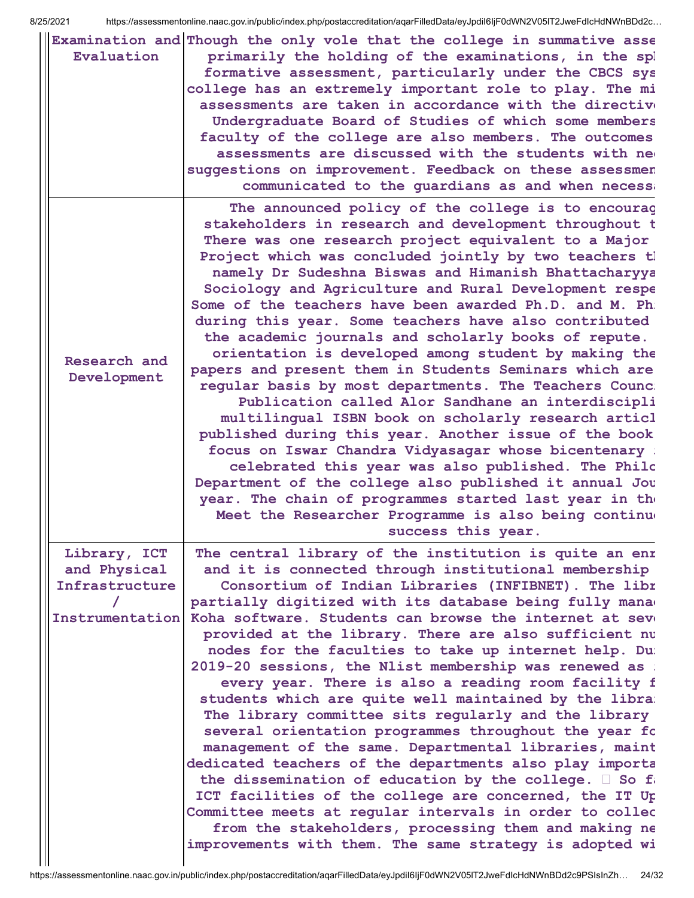| Evaluation                     | Examination and Though the only vole that the college in summative asse<br>primarily the holding of the examinations, in the spl<br>formative assessment, particularly under the CBCS sys<br>college has an extremely important role to play. The mi<br>assessments are taken in accordance with the directive<br>Undergraduate Board of Studies of which some members<br>faculty of the college are also members. The outcomes<br>assessments are discussed with the students with new<br>suggestions on improvement. Feedback on these assessmen<br>communicated to the guardians as and when necessa                                                                                                                                                                                                                                                                                                                                                                                                                                                                                                                                                                                      |
|--------------------------------|----------------------------------------------------------------------------------------------------------------------------------------------------------------------------------------------------------------------------------------------------------------------------------------------------------------------------------------------------------------------------------------------------------------------------------------------------------------------------------------------------------------------------------------------------------------------------------------------------------------------------------------------------------------------------------------------------------------------------------------------------------------------------------------------------------------------------------------------------------------------------------------------------------------------------------------------------------------------------------------------------------------------------------------------------------------------------------------------------------------------------------------------------------------------------------------------|
| Research and<br>Development    | The announced policy of the college is to encourag<br>stakeholders in research and development throughout t<br>There was one research project equivalent to a Major<br>Project which was concluded jointly by two teachers th<br>namely Dr Sudeshna Biswas and Himanish Bhattacharyya<br>Sociology and Agriculture and Rural Development respe<br>Some of the teachers have been awarded Ph.D. and M. Ph.<br>during this year. Some teachers have also contributed<br>the academic journals and scholarly books of repute.<br>orientation is developed among student by making the<br>papers and present them in Students Seminars which are<br>regular basis by most departments. The Teachers Counc:<br>Publication called Alor Sandhane an interdiscipli<br>multilingual ISBN book on scholarly research articl<br>published during this year. Another issue of the book<br>focus on Iswar Chandra Vidyasagar whose bicentenary :<br>celebrated this year was also published. The Philc<br>Department of the college also published it annual Jou<br>year. The chain of programmes started last year in the<br>Meet the Researcher Programme is also being continue<br>success this year. |
| Library, ICT                   | The central library of the institution is quite an enr                                                                                                                                                                                                                                                                                                                                                                                                                                                                                                                                                                                                                                                                                                                                                                                                                                                                                                                                                                                                                                                                                                                                       |
| and Physical<br>Infrastructure | and it is connected through institutional membership<br>Consortium of Indian Libraries (INFIBNET). The libr                                                                                                                                                                                                                                                                                                                                                                                                                                                                                                                                                                                                                                                                                                                                                                                                                                                                                                                                                                                                                                                                                  |
|                                | partially digitized with its database being fully manae                                                                                                                                                                                                                                                                                                                                                                                                                                                                                                                                                                                                                                                                                                                                                                                                                                                                                                                                                                                                                                                                                                                                      |
| Instrumentation                | Koha software. Students can browse the internet at seve<br>provided at the library. There are also sufficient nu<br>nodes for the faculties to take up internet help. Du:<br>2019-20 sessions, the Nlist membership was renewed as :<br>every year. There is also a reading room facility f<br>students which are quite well maintained by the libra:<br>The library committee sits regularly and the library<br>several orientation programmes throughout the year fo<br>management of the same. Departmental libraries, maint<br>dedicated teachers of the departments also play importa<br>the dissemination of education by the college. $\square$ So fa<br>ICT facilities of the college are concerned, the IT Up<br>Committee meets at regular intervals in order to collec<br>from the stakeholders, processing them and making ne<br>improvements with them. The same strategy is adopted wi                                                                                                                                                                                                                                                                                         |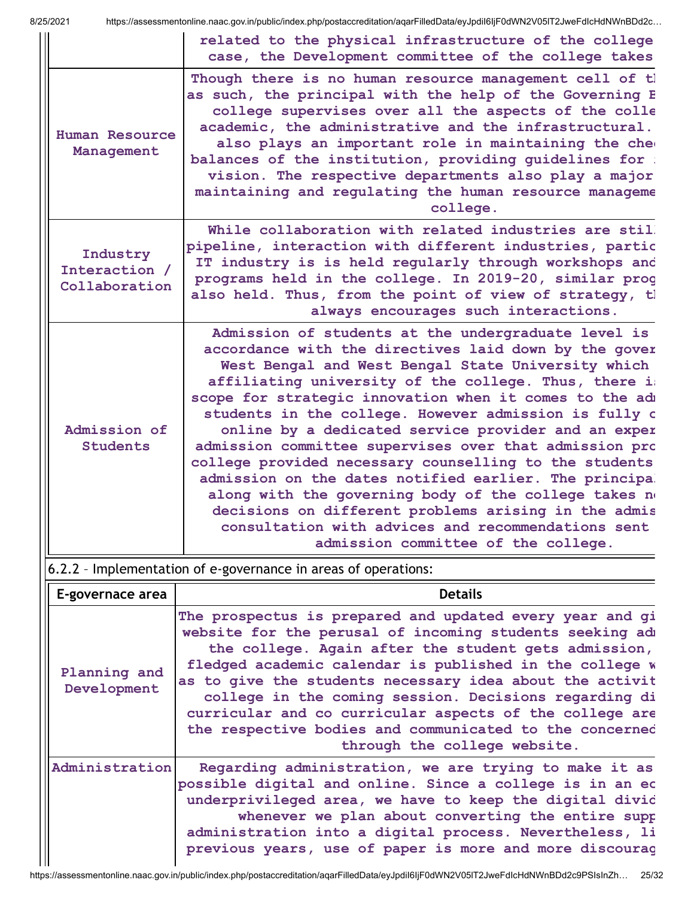|                                            | related to the physical infrastructure of the college<br>case, the Development committee of the college takes                                                                                                                                                                                                                                                                                                                                                                                                                                                                                                                                                                                                                                                                                      |
|--------------------------------------------|----------------------------------------------------------------------------------------------------------------------------------------------------------------------------------------------------------------------------------------------------------------------------------------------------------------------------------------------------------------------------------------------------------------------------------------------------------------------------------------------------------------------------------------------------------------------------------------------------------------------------------------------------------------------------------------------------------------------------------------------------------------------------------------------------|
| <b>Human Resource</b><br>Management        | Though there is no human resource management cell of tl<br>as such, the principal with the help of the Governing E<br>college supervises over all the aspects of the colle<br>academic, the administrative and the infrastructural.<br>also plays an important role in maintaining the che<br>balances of the institution, providing quidelines for :<br>vision. The respective departments also play a major<br>maintaining and regulating the human resource manageme<br>college.                                                                                                                                                                                                                                                                                                                |
| Industry<br>Interaction /<br>Collaboration | While collaboration with related industries are stil.<br>pipeline, interaction with different industries, partic<br>IT industry is is held reqularly through workshops and<br>programs held in the college. In 2019-20, similar prog<br>also held. Thus, from the point of view of strategy, tl<br>always encourages such interactions.                                                                                                                                                                                                                                                                                                                                                                                                                                                            |
| Admission of<br><b>Students</b>            | Admission of students at the undergraduate level is<br>accordance with the directives laid down by the gover<br>West Bengal and West Bengal State University which<br>affiliating university of the college. Thus, there im<br>scope for strategic innovation when it comes to the adm<br>students in the college. However admission is fully o<br>online by a dedicated service provider and an exper<br>admission committee supervises over that admission pro<br>college provided necessary counselling to the students<br>admission on the dates notified earlier. The principal<br>along with the governing body of the college takes no<br>decisions on different problems arising in the admis<br>consultation with advices and recommendations sent<br>admission committee of the college. |

## 6.2.2 – Implementation of e-governance in areas of operations:

| <b>Details</b><br>E-governace area |                                                                                                                                                                                                                                                                                                                                                                                                                                                                                                                    |  |  |  |  |
|------------------------------------|--------------------------------------------------------------------------------------------------------------------------------------------------------------------------------------------------------------------------------------------------------------------------------------------------------------------------------------------------------------------------------------------------------------------------------------------------------------------------------------------------------------------|--|--|--|--|
| Planning and<br>Development        | The prospectus is prepared and updated every year and gi<br>website for the perusal of incoming students seeking adm<br>the college. Again after the student gets admission,<br>fledged academic calendar is published in the college w<br>as to give the students necessary idea about the activit<br>college in the coming session. Decisions regarding di<br>curricular and co curricular aspects of the college are<br>the respective bodies and communicated to the concerned<br>through the college website. |  |  |  |  |
| Administration                     | Regarding administration, we are trying to make it as<br>possible digital and online. Since a college is in an ec<br>underprivileged area, we have to keep the digital divid<br>whenever we plan about converting the entire supp<br>administration into a digital process. Nevertheless, li<br>previous years, use of paper is more and more discourag                                                                                                                                                            |  |  |  |  |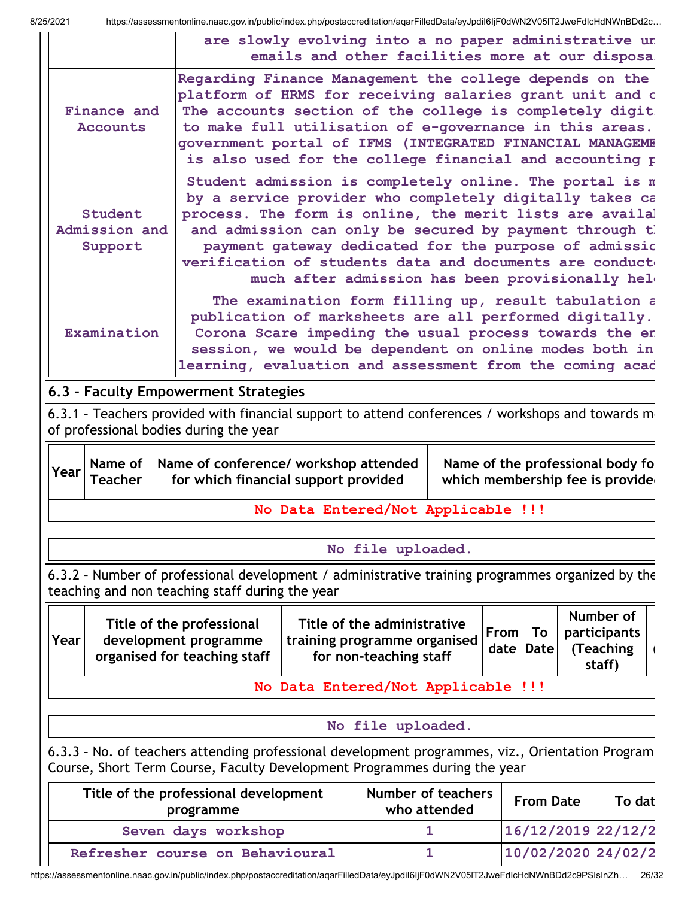$\mathop{\parallel}$ 

| 8/25/2021 |                                     | https://assessmentonline.naac.gov.in/public/index.php/postaccreditation/aqarFilledData/eyJpdil6ljF0dWN2V05IT2JweFdIcHdNWnBDd2c                                                                                                                                                                                                                                    |                                                                                                           |                                                       |                                    |                                          |                                                                      |
|-----------|-------------------------------------|-------------------------------------------------------------------------------------------------------------------------------------------------------------------------------------------------------------------------------------------------------------------------------------------------------------------------------------------------------------------|-----------------------------------------------------------------------------------------------------------|-------------------------------------------------------|------------------------------------|------------------------------------------|----------------------------------------------------------------------|
|           |                                     |                                                                                                                                                                                                                                                                                                                                                                   | are slowly evolving into a no paper administrative un<br>emails and other facilities more at our disposa. |                                                       |                                    |                                          |                                                                      |
|           | Finance and<br>Accounts             | Regarding Finance Management the college depends on the<br>platform of HRMS for receiving salaries grant unit and c<br>The accounts section of the college is completely digit:<br>to make full utilisation of e-governance in this areas.<br>government portal of IFMS (INTEGRATED FINANCIAL MANAGEME<br>is also used for the college financial and accounting p |                                                                                                           |                                                       |                                    |                                          |                                                                      |
|           | Student<br>Admission and<br>Support | Student admission is completely online. The portal is m<br>by a service provider who completely digitally takes ca<br>process. The form is online, the merit lists are availal<br>and admission can only be secured by payment through tl<br>payment gateway dedicated for the purpose of admissic<br>verification of students data and documents are conducto    | much after admission has been provisionally held                                                          |                                                       |                                    |                                          |                                                                      |
|           | Examination                         | publication of marksheets are all performed digitally.<br>Corona Scare impeding the usual process towards the en<br>session, we would be dependent on online modes both in<br>learning, evaluation and assessment from the coming acad                                                                                                                            | The examination form filling up, result tabulation a                                                      |                                                       |                                    |                                          |                                                                      |
|           |                                     | 6.3 - Faculty Empowerment Strategies                                                                                                                                                                                                                                                                                                                              |                                                                                                           |                                                       |                                    |                                          |                                                                      |
|           |                                     | 6.3.1 - Teachers provided with financial support to attend conferences / workshops and towards mo                                                                                                                                                                                                                                                                 |                                                                                                           |                                                       |                                    |                                          |                                                                      |
|           |                                     | of professional bodies during the year                                                                                                                                                                                                                                                                                                                            |                                                                                                           |                                                       |                                    |                                          |                                                                      |
| Year      | Name of<br><b>Teacher</b>           | Name of conference/ workshop attended<br>for which financial support provided                                                                                                                                                                                                                                                                                     | No Data Entered/Not Applicable !!!                                                                        |                                                       |                                    |                                          | Name of the professional body fo<br>which membership fee is provided |
|           |                                     |                                                                                                                                                                                                                                                                                                                                                                   |                                                                                                           |                                                       |                                    |                                          |                                                                      |
|           |                                     |                                                                                                                                                                                                                                                                                                                                                                   |                                                                                                           | No file uploaded.                                     |                                    |                                          |                                                                      |
|           |                                     | 6.3.2 - Number of professional development / administrative training programmes organized by the<br>teaching and non teaching staff during the year                                                                                                                                                                                                               |                                                                                                           |                                                       |                                    |                                          |                                                                      |
| Year      |                                     | Title of the professional                                                                                                                                                                                                                                                                                                                                         |                                                                                                           |                                                       |                                    |                                          |                                                                      |
|           |                                     | development programme<br>organised for teaching staff                                                                                                                                                                                                                                                                                                             | training programme organised                                                                              | Title of the administrative<br>for non-teaching staff |                                    | <b>From</b><br>To<br><b>Date</b><br>date | Number of<br>participants<br>(Teaching<br>staff)                     |
|           |                                     |                                                                                                                                                                                                                                                                                                                                                                   | No Data Entered/Not Applicable !!!                                                                        |                                                       |                                    |                                          |                                                                      |
|           |                                     |                                                                                                                                                                                                                                                                                                                                                                   |                                                                                                           |                                                       |                                    |                                          |                                                                      |
|           |                                     |                                                                                                                                                                                                                                                                                                                                                                   |                                                                                                           | No file uploaded.                                     |                                    |                                          |                                                                      |
|           |                                     | 6.3.3 - No. of teachers attending professional development programmes, viz., Orientation Programi<br>Course, Short Term Course, Faculty Development Programmes during the year                                                                                                                                                                                    |                                                                                                           |                                                       |                                    |                                          |                                                                      |
|           |                                     | Title of the professional development<br>programme                                                                                                                                                                                                                                                                                                                |                                                                                                           |                                                       | Number of teachers<br>who attended | <b>From Date</b>                         | To dat                                                               |
|           |                                     | Seven days workshop                                                                                                                                                                                                                                                                                                                                               |                                                                                                           |                                                       | 1                                  |                                          | 16/12/2019 22/12/2                                                   |

https://assessmentonline.naac.gov.in/public/index.php/postaccreditation/aqarFilledData/eyJpdiI6IjF0dWN2V05lT2JweFdIcHdNWnBDd2c9PSIsInZh… 26/32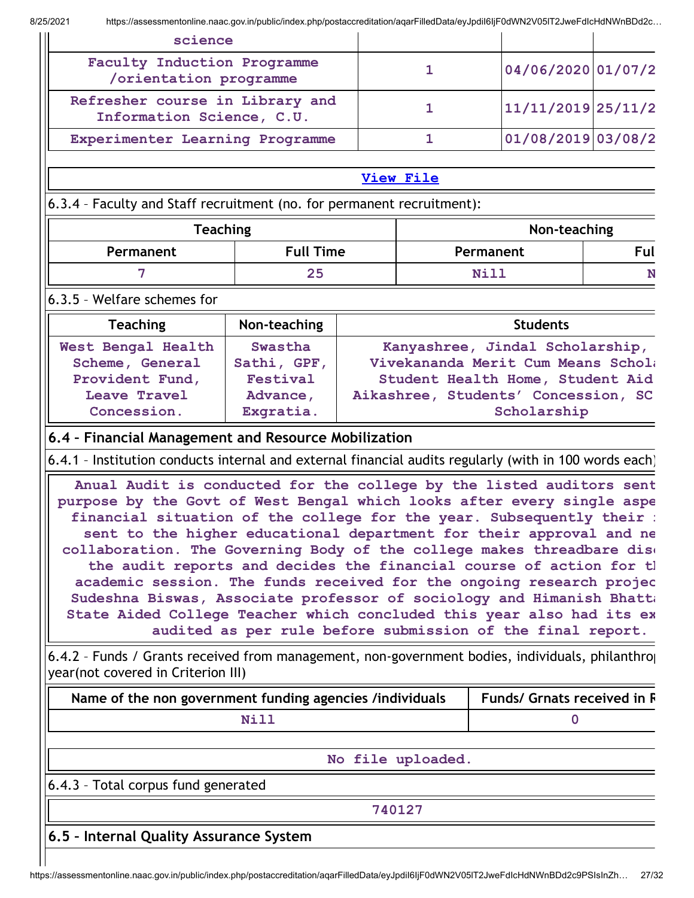| science                                                                                                                                                                                                                                                                                                                                                                                                                                                                                                                                                                                                                                                                                                                                                                                                                                                                                                                                                                                                              |                                                       |  |                   |                                                                                                                                                                                            |     |
|----------------------------------------------------------------------------------------------------------------------------------------------------------------------------------------------------------------------------------------------------------------------------------------------------------------------------------------------------------------------------------------------------------------------------------------------------------------------------------------------------------------------------------------------------------------------------------------------------------------------------------------------------------------------------------------------------------------------------------------------------------------------------------------------------------------------------------------------------------------------------------------------------------------------------------------------------------------------------------------------------------------------|-------------------------------------------------------|--|-------------------|--------------------------------------------------------------------------------------------------------------------------------------------------------------------------------------------|-----|
|                                                                                                                                                                                                                                                                                                                                                                                                                                                                                                                                                                                                                                                                                                                                                                                                                                                                                                                                                                                                                      | Faculty Induction Programme<br>/orientation programme |  |                   | 04/06/2020 01/07/2                                                                                                                                                                         |     |
| Refresher course in Library and<br>Information Science, C.U.                                                                                                                                                                                                                                                                                                                                                                                                                                                                                                                                                                                                                                                                                                                                                                                                                                                                                                                                                         |                                                       |  | $\mathbf{1}$      | 11/11/2019 25/11/2                                                                                                                                                                         |     |
| Experimenter Learning Programme                                                                                                                                                                                                                                                                                                                                                                                                                                                                                                                                                                                                                                                                                                                                                                                                                                                                                                                                                                                      |                                                       |  | $\mathbf{1}$      | 01/08/2019 03/08/2                                                                                                                                                                         |     |
|                                                                                                                                                                                                                                                                                                                                                                                                                                                                                                                                                                                                                                                                                                                                                                                                                                                                                                                                                                                                                      |                                                       |  | View File         |                                                                                                                                                                                            |     |
| 6.3.4 - Faculty and Staff recruitment (no. for permanent recruitment):                                                                                                                                                                                                                                                                                                                                                                                                                                                                                                                                                                                                                                                                                                                                                                                                                                                                                                                                               |                                                       |  |                   |                                                                                                                                                                                            |     |
| <b>Teaching</b>                                                                                                                                                                                                                                                                                                                                                                                                                                                                                                                                                                                                                                                                                                                                                                                                                                                                                                                                                                                                      |                                                       |  |                   | Non-teaching                                                                                                                                                                               |     |
| Permanent                                                                                                                                                                                                                                                                                                                                                                                                                                                                                                                                                                                                                                                                                                                                                                                                                                                                                                                                                                                                            | <b>Full Time</b>                                      |  |                   | Permanent                                                                                                                                                                                  | Ful |
| 7                                                                                                                                                                                                                                                                                                                                                                                                                                                                                                                                                                                                                                                                                                                                                                                                                                                                                                                                                                                                                    | 25                                                    |  |                   | Nill                                                                                                                                                                                       | N   |
| 6.3.5 - Welfare schemes for                                                                                                                                                                                                                                                                                                                                                                                                                                                                                                                                                                                                                                                                                                                                                                                                                                                                                                                                                                                          |                                                       |  |                   |                                                                                                                                                                                            |     |
| <b>Teaching</b>                                                                                                                                                                                                                                                                                                                                                                                                                                                                                                                                                                                                                                                                                                                                                                                                                                                                                                                                                                                                      | Non-teaching                                          |  |                   | <b>Students</b>                                                                                                                                                                            |     |
| Scheme, General<br>Provident Fund,<br>Leave Travel<br>Concession.<br>6.4 - Financial Management and Resource Mobilization<br>6.4.1 - Institution conducts internal and external financial audits regularly (with in 100 words each)<br>Anual Audit is conducted for the college by the listed auditors sent<br>purpose by the Govt of West Bengal which looks after every single aspe<br>financial situation of the college for the year. Subsequently their :<br>sent to the higher educational department for their approval and ne<br>collaboration. The Governing Body of the college makes threadbare dise<br>the audit reports and decides the financial course of action for th<br>academic session. The funds received for the ongoing research projec<br>Sudeshna Biswas, Associate professor of sociology and Himanish Bhatta<br>State Aided College Teacher which concluded this year also had its ex<br>6.4.2 - Funds / Grants received from management, non-government bodies, individuals, philanthroj | Sathi, GPF,<br>Festival<br>Advance,<br>Exgratia.      |  |                   | Vivekananda Merit Cum Means Schola<br>Student Health Home, Student Aid<br>Aikashree, Students' Concession, SC<br>Scholarship<br>audited as per rule before submission of the final report. |     |
| year(not covered in Criterion III)                                                                                                                                                                                                                                                                                                                                                                                                                                                                                                                                                                                                                                                                                                                                                                                                                                                                                                                                                                                   |                                                       |  |                   |                                                                                                                                                                                            |     |
| Name of the non government funding agencies /individuals                                                                                                                                                                                                                                                                                                                                                                                                                                                                                                                                                                                                                                                                                                                                                                                                                                                                                                                                                             | Nill                                                  |  |                   | <b>Funds/ Grnats received in R</b><br>$\mathbf 0$                                                                                                                                          |     |
|                                                                                                                                                                                                                                                                                                                                                                                                                                                                                                                                                                                                                                                                                                                                                                                                                                                                                                                                                                                                                      |                                                       |  |                   |                                                                                                                                                                                            |     |
|                                                                                                                                                                                                                                                                                                                                                                                                                                                                                                                                                                                                                                                                                                                                                                                                                                                                                                                                                                                                                      |                                                       |  | No file uploaded. |                                                                                                                                                                                            |     |
| 6.4.3 - Total corpus fund generated                                                                                                                                                                                                                                                                                                                                                                                                                                                                                                                                                                                                                                                                                                                                                                                                                                                                                                                                                                                  |                                                       |  |                   |                                                                                                                                                                                            |     |
|                                                                                                                                                                                                                                                                                                                                                                                                                                                                                                                                                                                                                                                                                                                                                                                                                                                                                                                                                                                                                      |                                                       |  | 740127            |                                                                                                                                                                                            |     |
| 6.5 - Internal Quality Assurance System                                                                                                                                                                                                                                                                                                                                                                                                                                                                                                                                                                                                                                                                                                                                                                                                                                                                                                                                                                              |                                                       |  |                   |                                                                                                                                                                                            |     |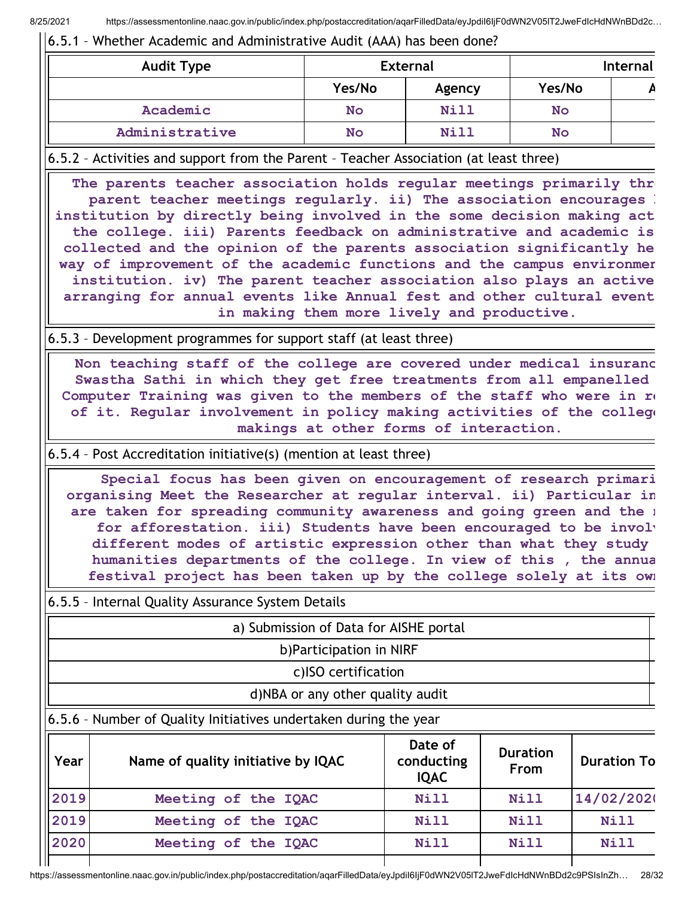### 6.5.1 – Whether Academic and Administrative Audit (AAA) has been done?

| <b>Audit Type</b> |           | <b>External</b> |           | <b>Internal</b> |
|-------------------|-----------|-----------------|-----------|-----------------|
|                   | Yes/No    | Agency          | Yes/No    |                 |
| Academic          | <b>No</b> | Nill            | <b>No</b> |                 |
| Administrative    | <b>No</b> | Nill            | <b>No</b> |                 |

### 6.5.2 – Activities and support from the Parent – Teacher Association (at least three)

The parents teacher association holds regular meetings primarily thr parent teacher meetings regularly. ii) The association encourages b institution by directly being involved in the some decision making act the college. iii) Parents feedback on administrative and academic is collected and the opinion of the parents association significantly he way of improvement of the academic functions and the campus environmer institution. iv) The parent teacher association also plays an active arranging for annual events like Annual fest and other cultural event in making them more lively and productive.

### 6.5.3 – Development programmes for support staff (at least three)

Non teaching staff of the college are covered under medical insuranc Swastha Sathi in which they get free treatments from all empanelled Computer Training was given to the members of the staff who were in re of it. Regular involvement in policy making activities of the college makings at other forms of interaction.

### 6.5.4 – Post Accreditation initiative(s) (mention at least three)

Special focus has been given on encouragement of research primari organising Meet the Researcher at regular interval. ii) Particular in are taken for spreading community awareness and going green and the n for afforestation. iii) Students have been encouraged to be involv different modes of artistic expression other than what they study humanities departments of the college. In view of this , the annua festival project has been taken up by the college solely at its own

| Year | Name of quality initiative by IQAC                                       | Date of<br>conducting<br><b>IQAC</b> | <b>Duration</b><br>From | <b>Duration To</b> |  |  |  |
|------|--------------------------------------------------------------------------|--------------------------------------|-------------------------|--------------------|--|--|--|
|      | $\vert$ 6.5.6 - Number of Quality Initiatives undertaken during the year |                                      |                         |                    |  |  |  |
|      | d)NBA or any other quality audit                                         |                                      |                         |                    |  |  |  |
|      | c)ISO certification                                                      |                                      |                         |                    |  |  |  |
|      | b) Participation in NIRF                                                 |                                      |                         |                    |  |  |  |
|      | a) Submission of Data for AISHE portal                                   |                                      |                         |                    |  |  |  |
|      | 6.5.5 - Internal Quality Assurance System Details                        |                                      |                         |                    |  |  |  |

2019 Meeting of the IQAC Nill Nill Nill 2020 Meeting of the IQAC Nill Nill Nill

2019 Meeting of the IQAC Nill Nill 14/02/2020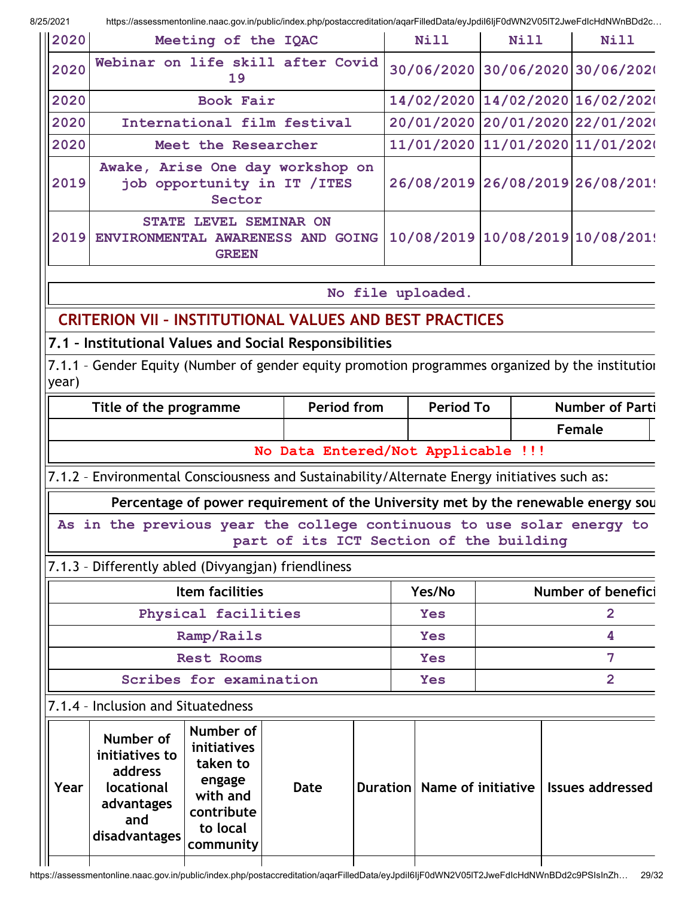| 2020              | Meeting of the IQAC                                                         | Nill | <b>Nill</b>                      | <b>Nill</b> |  |
|-------------------|-----------------------------------------------------------------------------|------|----------------------------------|-------------|--|
| 2020              | Webinar on life skill after Covid<br>19                                     |      | 30/06/2020 30/06/2020 30/06/2020 |             |  |
| 2020              | Book Fair                                                                   |      | 14/02/2020 14/02/2020 16/02/2020 |             |  |
| 2020              | International film festival                                                 |      | 20/01/2020 20/01/2020 22/01/2020 |             |  |
| 2020              | Meet the Researcher                                                         |      | 11/01/2020 11/01/2020 11/01/2020 |             |  |
| 2019              | Awake, Arise One day workshop on<br>job opportunity in IT / ITES<br>Sector  |      | 26/08/2019 26/08/2019 26/08/201! |             |  |
| 2019              | STATE LEVEL SEMINAR ON<br>ENVIRONMENTAL AWARENESS AND GOING<br><b>GREEN</b> |      | 10/08/2019 10/08/2019 10/08/2019 |             |  |
| No file uploaded. |                                                                             |      |                                  |             |  |
|                   | <b>CRITERION VII - INSTITUTIONAL VALUES AND BEST PRACTICES</b>              |      |                                  |             |  |
|                   | 7.1 - Institutional Values and Social Responsibilities                      |      |                                  |             |  |

7.1.1 – Gender Equity (Number of gender equity promotion programmes organized by the institution year)

| Title of the programme             | Period from | <b>Period To</b> | <b>Number of Parti</b> |  |  |  |
|------------------------------------|-------------|------------------|------------------------|--|--|--|
|                                    |             |                  | Female                 |  |  |  |
| No Data Entered/Not Applicable !!! |             |                  |                        |  |  |  |

### 7.1.2 – Environmental Consciousness and Sustainability/Alternate Energy initiatives such as:

Percentage of power requirement of the University met by the renewable energy sou

As in the previous year the college continuous to use solar energy to part of its ICT Section of the building

## 7.1.3 – Differently abled (Divyangjan) friendliness

| Item facilities         | Yes/No     | Number of benefici |
|-------------------------|------------|--------------------|
| Physical facilities     | Yes        |                    |
| Ramp/Rails              | Yes        |                    |
| <b>Rest Rooms</b>       | <b>Yes</b> |                    |
| Scribes for examination | Yes        |                    |

|      | 7.1.4 - Inclusion and Situatedness                                                         |                                                                                                   |      |                             |                         |
|------|--------------------------------------------------------------------------------------------|---------------------------------------------------------------------------------------------------|------|-----------------------------|-------------------------|
| Year | Number of<br>initiatives to<br>address<br>locational<br>advantages<br>and<br>disadvantages | Number of<br>initiatives<br>taken to<br>engage<br>with and<br>contribute<br>to local<br>community | Date | Duration Name of initiative | <b>Issues addressed</b> |
|      |                                                                                            |                                                                                                   |      |                             |                         |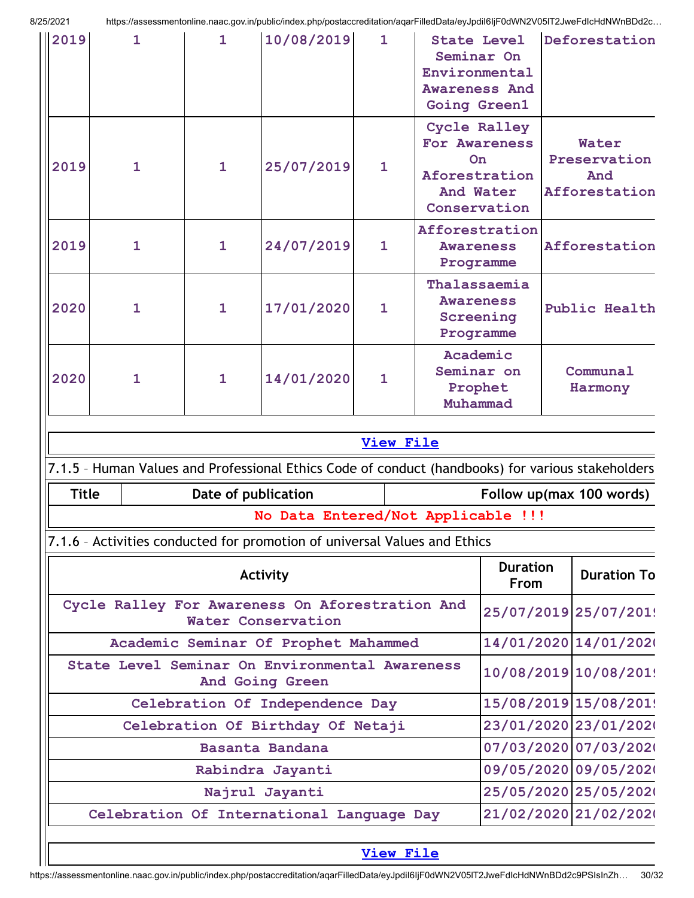| 2019                                                               | $\mathbf{1}$                                                          | $\mathbf{1}$ | 10/08/2019                                                                                        | $\mathbf{1}$     |                                                            | <b>State Level</b><br>Seminar On<br>Environmental<br><b>Awareness And</b><br>Going Green1 |                       | Deforestation                                 |  |
|--------------------------------------------------------------------|-----------------------------------------------------------------------|--------------|---------------------------------------------------------------------------------------------------|------------------|------------------------------------------------------------|-------------------------------------------------------------------------------------------|-----------------------|-----------------------------------------------|--|
| 2019                                                               | $\mathbf{1}$                                                          | $\mathbf{1}$ | 25/07/2019                                                                                        | $\mathbf{1}$     |                                                            | Cycle Ralley<br>For Awareness<br>On.<br>Aforestration<br>And Water<br>Conservation        |                       | Water<br>Preservation<br>And<br>Afforestation |  |
| 2019                                                               | $\mathbf{1}$                                                          | $\mathbf{1}$ | 24/07/2019                                                                                        | $\mathbf{1}$     |                                                            | Afforestration<br><b>Awareness</b><br>Programme                                           | Afforestation         |                                               |  |
| 2020                                                               | $\mathbf{1}$                                                          | $\mathbf{1}$ | 17/01/2020                                                                                        | $\mathbf{1}$     | Thalassaemia<br><b>Awareness</b><br>Screening<br>Programme |                                                                                           | Public Health         |                                               |  |
| 2020                                                               | $\mathbf{1}$                                                          | $\mathbf{1}$ | 14/01/2020                                                                                        | $\mathbf{1}$     | Academic<br>Seminar on<br>Prophet<br>Muhammad              |                                                                                           | Communal<br>Harmony   |                                               |  |
|                                                                    |                                                                       |              |                                                                                                   | <b>View File</b> |                                                            |                                                                                           |                       |                                               |  |
|                                                                    |                                                                       |              | 7.1.5 - Human Values and Professional Ethics Code of conduct (handbooks) for various stakeholders |                  |                                                            |                                                                                           |                       |                                               |  |
| <b>Title</b>                                                       |                                                                       |              | Date of publication                                                                               |                  |                                                            |                                                                                           |                       | Follow up(max 100 words)                      |  |
|                                                                    |                                                                       |              | No Data Entered/Not Applicable !!!                                                                |                  |                                                            |                                                                                           |                       |                                               |  |
|                                                                    |                                                                       |              | 7.1.6 - Activities conducted for promotion of universal Values and Ethics                         |                  |                                                            |                                                                                           |                       |                                               |  |
| Activity                                                           |                                                                       |              |                                                                                                   |                  |                                                            | <b>Duration</b><br><b>From</b>                                                            |                       | <b>Duration To</b>                            |  |
|                                                                    | Cycle Ralley For Awareness On Aforestration And<br>Water Conservation |              |                                                                                                   |                  |                                                            | 25/07/2019 25/07/201!                                                                     |                       |                                               |  |
|                                                                    | Academic Seminar Of Prophet Mahammed                                  |              |                                                                                                   |                  |                                                            |                                                                                           |                       | 14/01/2020 14/01/2020                         |  |
| State Level Seminar On Environmental Awareness<br>And Going Green  |                                                                       |              |                                                                                                   |                  |                                                            | 10/08/2019 10/08/201!                                                                     |                       |                                               |  |
| Celebration Of Independence Day                                    |                                                                       |              |                                                                                                   |                  |                                                            | 15/08/2019 15/08/201!                                                                     |                       |                                               |  |
| Celebration Of Birthday Of Netaji                                  |                                                                       |              |                                                                                                   |                  |                                                            |                                                                                           | 23/01/2020 23/01/2020 |                                               |  |
| Basanta Bandana                                                    |                                                                       |              |                                                                                                   |                  |                                                            |                                                                                           |                       | 07/03/2020 07/03/2020                         |  |
| Rabindra Jayanti                                                   |                                                                       |              |                                                                                                   |                  |                                                            |                                                                                           |                       | 09/05/2020 09/05/2020                         |  |
| Najrul Jayanti                                                     |                                                                       |              |                                                                                                   |                  |                                                            |                                                                                           | 25/05/2020 25/05/2020 |                                               |  |
| 21/02/2020 21/02/2020<br>Celebration Of International Language Day |                                                                       |              |                                                                                                   |                  |                                                            |                                                                                           |                       |                                               |  |
|                                                                    | <b>View File</b>                                                      |              |                                                                                                   |                  |                                                            |                                                                                           |                       |                                               |  |

### View [File](https://assessmentonline.naac.gov.in/public/Postacc/promotion_activities/12144_promotion_activities_1629547565.xlsx)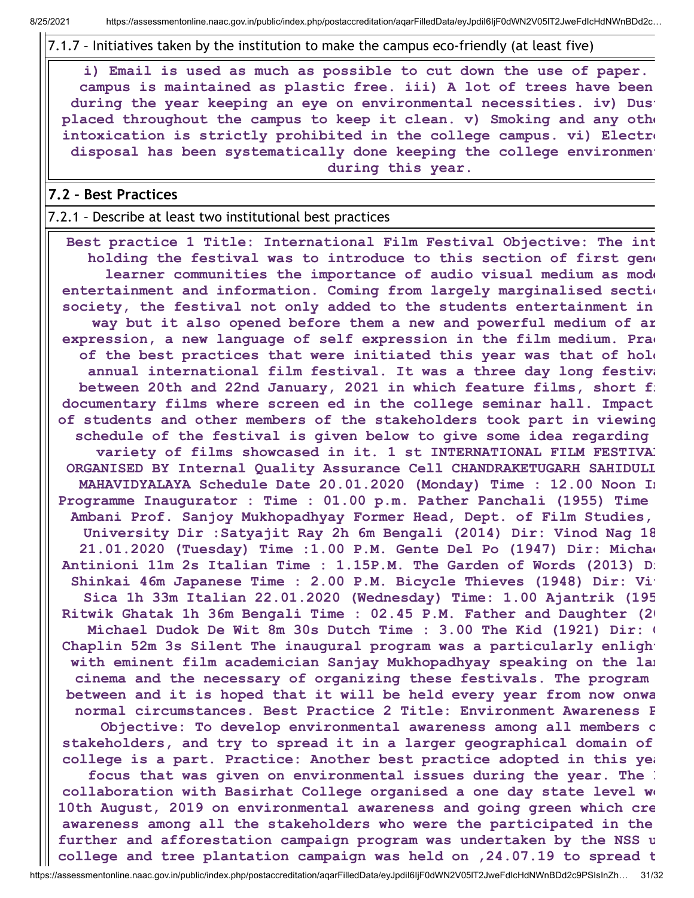7.1.7 – Initiatives taken by the institution to make the campus eco-friendly (at least five)

i) Email is used as much as possible to cut down the use of paper. campus is maintained as plastic free. iii) A lot of trees have been during the year keeping an eye on environmental necessities. iv) Dust placed throughout the campus to keep it clean. v) Smoking and any othe intoxication is strictly prohibited in the college campus. vi) Electro disposal has been systematically done keeping the college environment during this year.

### 7.2 – Best Practices

#### 7.2.1 – Describe at least two institutional best practices

Best practice 1 Title: International Film Festival Objective: The int holding the festival was to introduce to this section of first gene learner communities the importance of audio visual medium as mode entertainment and information. Coming from largely marginalised section society, the festival not only added to the students entertainment in way but it also opened before them a new and powerful medium of ar expression, a new language of self expression in the film medium. Pra $\epsilon$ of the best practices that were initiated this year was that of hold annual international film festival. It was a three day long festiva between 20th and 22nd January, 2021 in which feature films, short fi documentary films where screen ed in the college seminar hall. Impact of students and other members of the stakeholders took part in viewing schedule of the festival is given below to give some idea regarding variety of films showcased in it. 1 st INTERNATIONAL FILM FESTIVAL ORGANISED BY Internal Quality Assurance Cell CHANDRAKETUGARH SAHIDULL MAHAVIDYALAYA Schedule Date 20.01.2020 (Monday) Time : 12.00 Noon In Programme Inaugurator : Time : 01.00 p.m. Pather Panchali (1955) Time Ambani Prof. Sanjoy Mukhopadhyay Former Head, Dept. of Film Studies, University Dir :Satyajit Ray 2h 6m Bengali (2014) Dir: Vinod Nag 18 21.01.2020 (Tuesday) Time :1.00 P.M. Gente Del Po (1947) Dir: Michae Antinioni 11m 2s Italian Time : 1.15P.M. The Garden of Words (2013) Di Shinkai 46m Japanese Time : 2.00 P.M. Bicycle Thieves (1948) Dir: Vi Sica 1h 33m Italian 22.01.2020 (Wednesday) Time: 1.00 Ajantrik (195 Ritwik Ghatak 1h 36m Bengali Time : 02.45 P.M. Father and Daughter (20 Michael Dudok De Wit 8m 30s Dutch Time : 3.00 The Kid (1921) Dir: C Chaplin 52m 3s Silent The inaugural program was a particularly enlight with eminent film academician Sanjay Mukhopadhyay speaking on the lan cinema and the necessary of organizing these festivals. The program between and it is hoped that it will be held every year from now onwa normal circumstances. Best Practice 2 Title: Environment Awareness P Objective: To develop environmental awareness among all members o stakeholders, and try to spread it in a larger geographical domain of college is a part. Practice: Another best practice adopted in this yea focus that was given on environmental issues during the year. The I collaboration with Basirhat College organised a one day state level wo 10th August, 2019 on environmental awareness and going green which cre awareness among all the stakeholders who were the participated in the further and afforestation campaign program was undertaken by the NSS u college and tree plantation campaign was held on ,24.07.19 to spread t